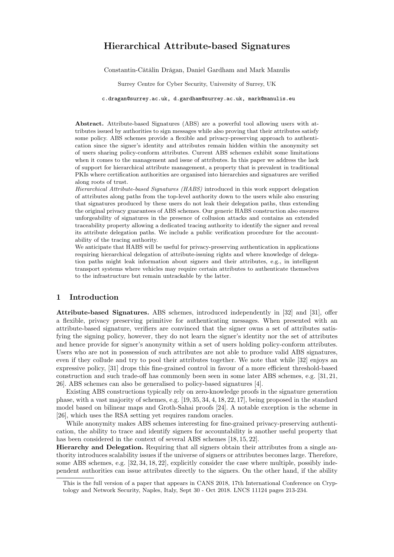# Hierarchical Attribute-based Signatures

Constantin-Cătălin Drăgan, Daniel Gardham and Mark Manulis

Surrey Centre for Cyber Security, University of Surrey, UK

c.dragan@surrey.ac.uk, d.gardham@surrey.ac.uk, mark@manulis.eu

Abstract. Attribute-based Signatures (ABS) are a powerful tool allowing users with attributes issued by authorities to sign messages while also proving that their attributes satisfy some policy. ABS schemes provide a flexible and privacy-preserving approach to authentication since the signer's identity and attributes remain hidden within the anonymity set of users sharing policy-conform attributes. Current ABS schemes exhibit some limitations when it comes to the management and issue of attributes. In this paper we address the lack of support for hierarchical attribute management, a property that is prevalent in traditional PKIs where certification authorities are organised into hierarchies and signatures are verified along roots of trust.

Hierarchical Attribute-based Signatures (HABS) introduced in this work support delegation of attributes along paths from the top-level authority down to the users while also ensuring that signatures produced by these users do not leak their delegation paths, thus extending the original privacy guarantees of ABS schemes. Our generic HABS construction also ensures unforgeability of signatures in the presence of collusion attacks and contains an extended traceability property allowing a dedicated tracing authority to identify the signer and reveal its attribute delegation paths. We include a public verification procedure for the accountability of the tracing authority.

We anticipate that HABS will be useful for privacy-preserving authentication in applications requiring hierarchical delegation of attribute-issuing rights and where knowledge of delegation paths might leak information about signers and their attributes, e.g., in intelligent transport systems where vehicles may require certain attributes to authenticate themselves to the infrastructure but remain untrackable by the latter.

## 1 Introduction

Attribute-based Signatures. ABS schemes, introduced independently in [32] and [31], offer a flexible, privacy preserving primitive for authenticating messages. When presented with an attribute-based signature, verifiers are convinced that the signer owns a set of attributes satisfying the signing policy, however, they do not learn the signer's identity nor the set of attributes and hence provide for signer's anonymity within a set of users holding policy-conform attributes. Users who are not in possession of such attributes are not able to produce valid ABS signatures, even if they collude and try to pool their attributes together. We note that while [32] enjoys an expressive policy, [31] drops this fine-grained control in favour of a more efficient threshold-based construction and such trade-off has commonly been seen in some later ABS schemes, e.g. [31, 21, 26]. ABS schemes can also be generalised to policy-based signatures [4].

Existing ABS constructions typically rely on zero-knowledge proofs in the signature generation phase, with a vast majority of schemes, e.g. [19, 35, 34, 4, 18, 22, 17], being proposed in the standard model based on bilinear maps and Groth-Sahai proofs [24]. A notable exception is the scheme in [26], which uses the RSA setting yet requires random oracles.

While anonymity makes ABS schemes interesting for fine-grained privacy-preserving authentication, the ability to trace and identify signers for accountability is another useful property that has been considered in the context of several ABS schemes [18, 15, 22].

Hierarchy and Delegation. Requiring that all signers obtain their attributes from a single authority introduces scalability issues if the universe of signers or attributes becomes large. Therefore, some ABS schemes, e.g. [32, 34, 18, 22], explicitly consider the case where multiple, possibly independent authorities can issue attributes directly to the signers. On the other hand, if the ability

This is the full version of a paper that appears in CANS 2018, 17th International Conference on Cryptology and Network Security, Naples, Italy, Sept 30 - Oct 2018. LNCS 11124 pages 213-234.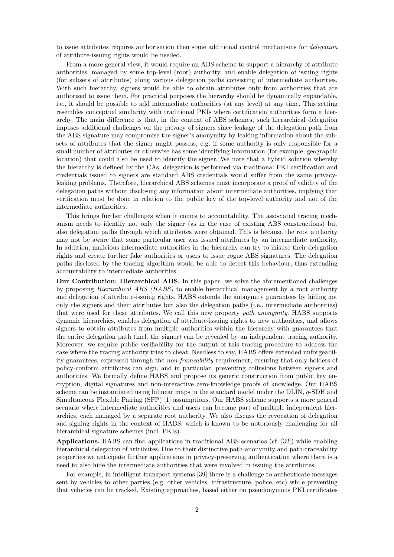to issue attributes requires authorisation then some additional control mechanisms for delegation of attribute-issuing rights would be needed.

From a more general view, it would require an ABS scheme to support a hierarchy of attribute authorities, managed by some top-level (root) authority, and enable delegation of issuing rights (for subsets of attributes) along various delegation paths consisting of intermediate authorities. With such hierarchy, signers would be able to obtain attributes only from authorities that are authorised to issue them. For practical purposes the hierarchy should be dynamically expandable, i.e., it should be possible to add intermediate authorities (at any level) at any time. This setting resembles conceptual similarity with traditional PKIs where certification authorities form a hierarchy. The main difference is that, in the context of ABS schemes, such hierarchical delegation imposes additional challenges on the privacy of signers since leakage of the delegation path from the ABS signature may compromise the signer's anonymity by leaking information about the subsets of attributes that the signer might possess, e.g. if some authority is only responsible for a small number of attributes or otherwise has some identifying information (for example, geographic location) that could also be used to identify the signer. We note that a hybrid solution whereby the hierarchy is defined by the CAs, delegation is performed via traditional PKI certification and credentials issued to signers are standard ABS credentials would suffer from the same privacyleaking problems. Therefore, hierarchical ABS schemes must incorporate a proof of validity of the delegation paths without disclosing any information about intermediate authorities, implying that verification must be done in relation to the public key of the top-level authority and not of the intermediate authorities.

This brings further challenges when it comes to accountability. The associated tracing mechanism needs to identify not only the signer (as in the case of existing ABS constructions) but also delegation paths through which attributes were obtained. This is because the root authority may not be aware that some particular user was issued attributes by an intermediate authority. In addition, malicious intermediate authorities in the hierarchy can try to misuse their delegation rights and create further fake authorities or users to issue rogue ABS signatures. The delegation paths disclosed by the tracing algorithm would be able to detect this behaviour, thus extending accountability to intermediate authorities.

Our Contribution: Hierarchical ABS. In this paper we solve the aforementioned challenges by proposing Hierarchical ABS (HABS) to enable hierarchical management by a root authority and delegation of attribute-issuing rights. HABS extends the anonymity guarantees by hiding not only the signers and their attributes but also the delegation paths (i.e., intermediate authorities) that were used for these attributes. We call this new property *path anonymity*. HABS supports dynamic hierarchies, enables delegation of attribute-issuing rights to new authorities, and allows signers to obtain attributes from multiple authorities within the hierarchy with guarantees that the entire delegation path (incl. the signer) can be revealed by an independent tracing authority. Moreover, we require public verifiability for the output of this tracing procedure to address the case where the tracing authority tries to cheat. Needless to say, HABS offers extended unforgeability guarantees, expressed through the non-frameability requirement, ensuring that only holders of policy-conform attributes can sign, and in particular, preventing collusions between signers and authorities. We formally define HABS and propose its generic construction from public key encryption, digital signatures and non-interactive zero-knowledge proofs of knowledge. Our HABS scheme can be instantiated using bilinear maps in the standard model under the DLIN,  $q$ -SDH and Simultaneous Flexible Pairing (SFP) [1] assumptions. Our HABS scheme supports a more general scenario where intermediate authorities and users can become part of multiple independent hierarchies, each managed by a separate root authority. We also discuss the revocation of delegation and signing rights in the context of HABS, which is known to be notoriously challenging for all hierarchical signature schemes (incl. PKIs).

Applications. HABS can find applications in traditional ABS scenarios (cf. [32]) while enabling hierarchical delegation of attributes. Due to their distinctive path-anonymity and path-traceability properties we anticipate further applications in privacy-preserving authentication where there is a need to also hide the intermediate authorities that were involved in issuing the attributes.

For example, in intelligent transport systems [39] there is a challenge to authenticate messages sent by vehicles to other parties (e.g. other vehicles, infrastructure, police, etc) while preventing that vehicles can be tracked. Existing approaches, based either on pseudonymous PKI certificates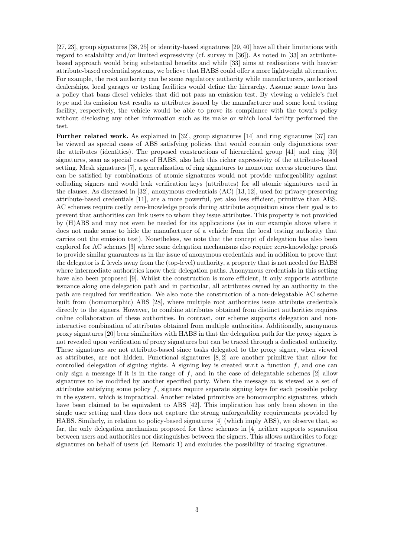[27, 23], group signatures [38, 25] or identity-based signatures [29, 40] have all their limitations with regard to scalability and/or limited expressivity (cf. survey in [36]). As noted in [33] an attributebased approach would bring substantial benefits and while [33] aims at realisations with heavier attribute-based credential systems, we believe that HABS could offer a more lightweight alternative. For example, the root authority can be some regulatory authority while manufacturers, authorized dealerships, local garages or testing facilities would define the hierarchy. Assume some town has a policy that bans diesel vehicles that did not pass an emission test. By viewing a vehicle's fuel type and its emission test results as attributes issued by the manufacturer and some local testing facility, respectively, the vehicle would be able to prove its compliance with the town's policy without disclosing any other information such as its make or which local facility performed the test.

Further related work. As explained in [32], group signatures [14] and ring signatures [37] can be viewed as special cases of ABS satisfying policies that would contain only disjunctions over the attributes (identities). The proposed constructions of hierarchical group [41] and ring [30] signatures, seen as special cases of HABS, also lack this richer expressivity of the attribute-based setting. Mesh signatures [7], a generalization of ring signatures to monotone access structures that can be satisfied by combinations of atomic signatures would not provide unforgeability against colluding signers and would leak verification keys (attributes) for all atomic signatures used in the clauses. As discussed in [32], anonymous credentials (AC) [13, 12], used for privacy-preserving attribute-based credentials [11], are a more powerful, yet also less efficient, primitive than ABS. AC schemes require costly zero-knowledge proofs during attribute acquisition since their goal is to prevent that authorities can link users to whom they issue attributes. This property is not provided by (H)ABS and may not even be needed for its applications (as in our example above where it does not make sense to hide the manufacturer of a vehicle from the local testing authority that carries out the emission test). Nonetheless, we note that the concept of delegation has also been explored for AC schemes [3] where some delegation mechanisms also require zero-knowledge proofs to provide similar guarantees as in the issue of anonymous credentials and in addition to prove that the delegator is L levels away from the (top-level) authority, a property that is not needed for HABS where intermediate authorities know their delegation paths. Anonymous credentials in this setting have also been proposed [9]. Whilst the construction is more efficient, it only supports attribute issuance along one delegation path and in particular, all attributes owned by an authority in the path are required for verification. We also note the construction of a non-delegatable AC scheme built from (homomorphic) ABS [28], where multiple root authorities issue attribute credentials directly to the signers. However, to combine attributes obtained from distinct authorities requires online collaboration of these authorities. In contrast, our scheme supports delegation and noninteractive combination of attributes obtained from multiple authorities. Additionally, anonymous proxy signatures [20] bear similarities with HABS in that the delegation path for the proxy signer is not revealed upon verification of proxy signatures but can be traced through a dedicated authority. These signatures are not attribute-based since tasks delegated to the proxy signer, when viewed as attributes, are not hidden. Functional signatures [8, 2] are another primitive that allow for controlled delegation of signing rights. A signing key is created w.r.t a function  $f$ , and one can only sign a message if it is in the range of  $f$ , and in the case of delegatable schemes  $[2]$  allow signatures to be modified by another specified party. When the message  $m$  is viewed as a set of attributes satisfying some policy  $f$ , signers require separate signing keys for each possible policy in the system, which is impractical. Another related primitive are homomorphic signatures, which have been claimed to be equivalent to ABS [42]. This implication has only been shown in the single user setting and thus does not capture the strong unforgeability requirements provided by HABS. Similarly, in relation to policy-based signatures [4] (which imply ABS), we observe that, so far, the only delegation mechanism proposed for these schemes in [4] neither supports separation between users and authorities nor distinguishes between the signers. This allows authorities to forge signatures on behalf of users (cf. Remark 1) and excludes the possibility of tracing signatures.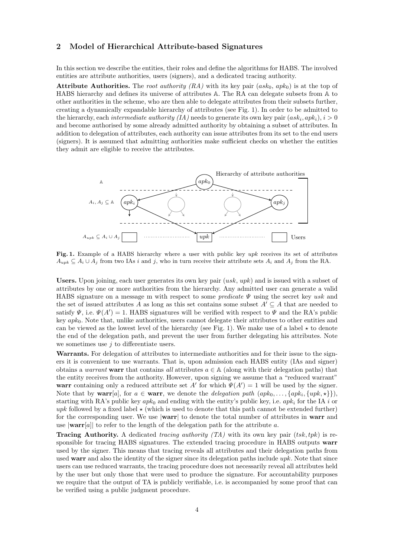## 2 Model of Hierarchical Attribute-based Signatures

In this section we describe the entities, their roles and define the algorithms for HABS. The involved entities are attribute authorities, users (signers), and a dedicated tracing authority.

**Attribute Authorities.** The root authority  $(RA)$  with its key pair  $(ask_0, apk_0)$  is at the top of HABS hierarchy and defines its universe of attributes A. The RA can delegate subsets from A to other authorities in the scheme, who are then able to delegate attributes from their subsets further, creating a dynamically expandable hierarchy of attributes (see Fig. 1). In order to be admitted to the hierarchy, each *intermediate authority* (*IA*) needs to generate its own key pair  $(ask_i, apk_i), i > 0$ and become authorised by some already admitted authority by obtaining a subset of attributes. In addition to delegation of attributes, each authority can issue attributes from its set to the end users (signers). It is assumed that admitting authorities make sufficient checks on whether the entities they admit are eligible to receive the attributes.



Fig. 1. Example of a HABS hierarchy where a user with public key upk receives its set of attributes  $A_{upk} \subseteq A_i \cup A_j$  from two IAs i and j, who in turn receive their attribute sets  $A_i$  and  $A_j$  from the RA.

Users. Upon joining, each user generates its own key pair  $(usk, upk)$  and is issued with a subset of attributes by one or more authorities from the hierarchy. Any admitted user can generate a valid HABS signature on a message m with respect to some *predicate*  $\Psi$  using the secret key usk and the set of issued attributes A as long as this set contains some subset  $A' \subseteq A$  that are needed to satisfy  $\Psi$ , i.e.  $\Psi(A') = 1$ . HABS signatures will be verified with respect to  $\Psi$  and the RA's public key  $apk<sub>0</sub>$ . Note that, unlike authorities, users cannot delegate their attributes to other entities and can be viewed as the lowest level of the hierarchy (see Fig. 1). We make use of a label  $\star$  to denote the end of the delegation path, and prevent the user from further delegating his attributes. Note we sometimes use  $j$  to differentiate users.

Warrants. For delegation of attributes to intermediate authorities and for their issue to the signers it is convenient to use warrants. That is, upon admission each HABS entity (IAs and signer) obtains a warrant warr that contains all attributes  $a \in A$  (along with their delegation paths) that the entity receives from the authority. However, upon signing we assume that a "reduced warrant" warr containing only a reduced attribute set A' for which  $\Psi(A') = 1$  will be used by the signer. Note that by **warr**[a], for  $a \in \textbf{warr}$ , we denote the *delegation path*  $(apk_0, \ldots, \{apk_i, \{upk, \star\}\}),$ starting with RA's public key  $apk_0$  and ending with the entity's public key, i.e.  $apk_i$  for the IA i or upk followed by a fixed label  $\star$  (which is used to denote that this path cannot be extended further) for the corresponding user. We use  $|\textbf{warr}|$  to denote the total number of attributes in warr and use  $|\textbf{warr}[a]|$  to refer to the length of the delegation path for the attribute a.

**Tracing Authority.** A dedicated *tracing authority*  $(TA)$  with its own key pair  $(tsk, tpk)$  is responsible for tracing HABS signatures. The extended tracing procedure in HABS outputs warr used by the signer. This means that tracing reveals all attributes and their delegation paths from used warr and also the identity of the signer since its delegation paths include  $upk$ . Note that since users can use reduced warrants, the tracing procedure does not necessarily reveal all attributes held by the user but only those that were used to produce the signature. For accountability purposes we require that the output of TA is publicly verifiable, i.e. is accompanied by some proof that can be verified using a public judgment procedure.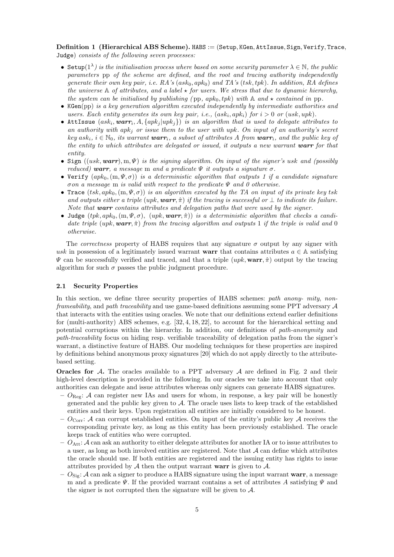Definition 1 (Hierarchical ABS Scheme). HABS := (Setup, KGen, AttIssue, Sign, Verify, Trace, Judge) consists of the following seven processes:

- Setup( $1^{\lambda}$ ) is the initialisation process where based on some security parameter  $\lambda \in \mathbb{N}$ , the public parameters pp of the scheme are defined, and the root and tracing authority independently generate their own key pair, i.e.  $RA$ 's  $(ask<sub>0</sub>, apk<sub>0</sub>)$  and  $TA$ 's  $(tsk, tpk)$ . In addition,  $RA$  defines the universe  $A$  of attributes, and a label  $\star$  for users. We stress that due to dynamic hierarchy, the system can be initialised by publishing (pp,  $apk<sub>0</sub>, tpk<sub>0</sub>, tpk$ ) with  $A$  and  $\star$  contained in pp.
- KGen(pp) is a key generation algorithm executed independently by intermediate authorities and users. Each entity generates its own key pair, i.e.,  $(ask_i, apk_i)$  for  $i > 0$  or  $(usk, upk)$ .
- AttIssue  $(ask_i, warm_i, A, {apk_j | upk_j})$  is an algorithm that is used to delegate attributes to an authority with apk<sub>i</sub> or issue them to the user with upk. On input of an authority's secret key  $ask_i$ ,  $i \in \mathbb{N}_0$ , its warrant **warr**<sub>i</sub>, a subset of attributes A from **warr**<sub>i</sub>, and the public key of the entity to which attributes are delegated or issued, it outputs a new warrant warr for that entity.
- Sign  $((usk, warr), m, \Psi)$  is the signing algorithm. On input of the signer's usk and (possibly reduced) warr, a message m and a predicate  $\Psi$  it outputs a signature  $\sigma$ .
- Verify  $(apk_0, (m, \Psi, \sigma))$  is a deterministic algorithm that outputs 1 if a candidate signature σon a message m is valid with respect to the predicate  $Ψ$  and 0 otherwise.
- Trace  $(tsk, apk<sub>0</sub>, (m, \Psi, \sigma))$  is an algorithm executed by the TA on input of its private key tsk and outputs either a triple  $(upk, warm, \hat{\pi})$  if the tracing is successful or  $\perp$  to indicate its failure. Note that warr contains attributes and delegation paths that were used by the signer.
- Judge  $(tpk, apk_0, (m, \Psi, \sigma))$ ,  $(upk, warr, \hat{\pi}))$  is a deterministic algorithm that checks a candidate triple (upk, warr,  $\hat{\pi}$ ) from the tracing algorithm and outputs 1 if the triple is valid and 0 otherwise.

The *correctness* property of HABS requires that any signature  $\sigma$  output by any signer with usk in possession of a legitimately issued warrant **warr** that contains attributes  $a \in A$  satisfying  $\Psi$  can be successfully verified and traced, and that a triple (upk, warr,  $\hat{\pi}$ ) output by the tracing algorithm for such  $\sigma$  passes the public judgment procedure.

## 2.1 Security Properties

In this section, we define three security properties of HABS schemes: path anony- mity, nonframeability, and path traceability and use game-based definitions assuming some PPT adversary  $\mathcal A$ that interacts with the entities using oracles. We note that our definitions extend earlier definitions for (multi-authority) ABS schemes, e.g. [32, 4, 18, 22], to account for the hierarchical setting and potential corruptions within the hierarchy. In addition, our definitions of path-anonymity and path-traceability focus on hiding resp. verifiable traceability of delegation paths from the signer's warrant, a distinctive feature of HABS. Our modeling techniques for these properties are inspired by definitions behind anonymous proxy signatures [20] which do not apply directly to the attributebased setting.

**Oracles for A.** The oracles available to a PPT adversary  $A$  are defined in Fig. 2 and their high-level description is provided in the following. In our oracles we take into account that only authorities can delegate and issue attributes whereas only signers can generate HABS signatures.

- $O_{\text{Res}}$ : A can register new IAs and users for whom, in response, a key pair will be honestly generated and the public key given to  $A$ . The oracle uses lists to keep track of the established entities and their keys. Upon registration all entities are initially considered to be honest.
- $O_{\text{Corr}}$ : A can corrupt established entities. On input of the entity's public key A receives the corresponding private key, as long as this entity has been previously established. The oracle keeps track of entities who were corrupted.
- $O_{\text{Att}}$ : A can ask an authority to either delegate attributes for another IA or to issue attributes to a user, as long as both involved entities are registered. Note that  $A$  can define which attributes the oracle should use. If both entities are registered and the issuing entity has rights to issue attributes provided by  $A$  then the output warrant warr is given to  $A$ .
- $O_{\text{Sie}}$ : A can ask a signer to produce a HABS signature using the input warrant warr, a message m and a predicate  $\Psi$ . If the provided warrant contains a set of attributes A satisfying  $\Psi$  and the signer is not corrupted then the signature will be given to A.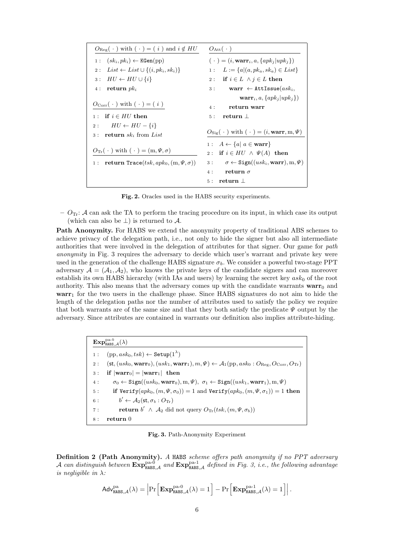| $O_{\text{Reg}}(\cdot)$ with $(\cdot) = (i)$ and $i \notin HU$   | $O_{\text{Att}}(\cdot)$                                                             |
|------------------------------------------------------------------|-------------------------------------------------------------------------------------|
| 1: $(sk_i, pk_i) \leftarrow KGen(pp)$                            | $(\cdot) = (i, \textbf{warr}_i, a, \{apk_i upk_i\})$                                |
| 2: $List \leftarrow List \cup \{(i, pk_i, sk_i)\}\$              | 1: $L := \{a   (a, pk_a, sk_a) \in List\}$                                          |
| $3: HU \leftarrow HU \cup \{i\}$                                 | 2: if $i \in L \land j \in L$ then                                                  |
| 4: return $pk_i$                                                 | 3: warr $\leftarrow$ AttIssue(ask <sub>i</sub> ,                                    |
|                                                                  | $\textbf{warr}_i, a, \{apk_i upk_i\}\)$                                             |
| $O_{\text{Corr}}(\cdot)$ with $(\cdot)=(i)$                      | return warr<br>4:                                                                   |
| 1: if $i \in HU$ then                                            | $5:$ return $\perp$                                                                 |
| $HU \leftarrow HU - \{i\}$<br>2:                                 |                                                                                     |
| 3: return $sk_i$ from List                                       | $O_{\text{Sig}}(\cdot)$ with $(\cdot) = (i, \text{warm}, \Psi)$                     |
| $O_{\text{Tr}}(\cdot)$ with $(\cdot) = (\text{m}, \Psi, \sigma)$ | 1: $A \leftarrow \{a   a \in \text{warr}\}\$<br>2: if $i \in HU \land \Psi(A)$ then |
| 1: return Trace(tsk, apk <sub>0</sub> , (m, $\Psi$ , $\sigma$ )) | $\sigma \leftarrow$ Sign((usk <sub>i</sub> , warr), m, $\Psi$ )<br>3:               |
|                                                                  | return $\sigma$<br>4:                                                               |
|                                                                  | return 1<br>5:                                                                      |

Fig. 2. Oracles used in the HABS security experiments.

–  $O_{\text{Tr}}$ : A can ask the TA to perform the tracing procedure on its input, in which case its output (which can also be  $\perp$ ) is returned to A.

Path Anonymity. For HABS we extend the anonymity property of traditional ABS schemes to achieve privacy of the delegation path, i.e., not only to hide the signer but also all intermediate authorities that were involved in the delegation of attributes for that signer. Our game for path anonymity in Fig. 3 requires the adversary to decide which user's warrant and private key were used in the generation of the challenge HABS signature  $\sigma_b$ . We consider a powerful two-stage PPT adversary  $\mathcal{A} = (\mathcal{A}_1, \mathcal{A}_2)$ , who knows the private keys of the candidate signers and can moreover establish its own HABS hierarchy (with IAs and users) by learning the secret key  $ask<sub>0</sub>$  of the root authority. This also means that the adversary comes up with the candidate warrants  $\textbf{warr}_0$  and  $\textbf{warr}_1$  for the two users in the challenge phase. Since HABS signatures do not aim to hide the length of the delegation paths nor the number of attributes used to satisfy the policy we require that both warrants are of the same size and that they both satisfy the predicate  $\Psi$  output by the adversary. Since attributes are contained in warrants our definition also implies attribute-hiding.

> $\mathbf{Exp}_{\texttt{HABS},\mathcal{A}}^{\texttt{pa-}b}(\lambda)$  $1: \quad ({\rm pp}, ask_0, tsk) \leftarrow {\tt Setup}(1^\lambda)$  $($ st, $(usk_0, **warr**_0), (usk_1, **warr**_1), m, \Psi) \leftarrow A_1(pp, ask_0 : O_{Reg}, O_{Corr}, O_{Tr})$  $\text{if } |\text{warr}_0| = |\text{warr}_1| \text{ then}$ 4 :  $\sigma_0 \leftarrow \text{Sign}((usk_0, \text{warr}_0), m, \Psi), \ \sigma_1 \leftarrow \text{Sign}((usk_1, \text{warr}_1), m, \Psi)$ 5: if  $Verify(apk_0,(m,\Psi,\sigma_0)) = 1$  and  $Verify(apk_0,(m,\Psi,\sigma_1)) = 1$  then 6 :  $b' \leftarrow \mathcal{A}_2(\mathsf{st}, \sigma_b : O_\text{Tr})$ 7: **return**  $b' \wedge A_2$  did not query  $O_{\text{Tr}}(tsk, (m, \Psi, \sigma_b))$  $8:$  return  $0$

Fig. 3. Path-Anonymity Experiment

**Definition 2 (Path Anonymity).** A HABS scheme offers path anonymity if no PPT adversary A can distinguish between  $\text{Exp}_{\text{HABS},\mathcal{A}}^{\text{pa-}\hat{\text{O}}}$  and  $\text{Exp}_{\text{HABS},\mathcal{A}}^{\text{pa-}\hat{\text{a}}}$  defined in Fig. 3, i.e., the following advantage is negligible in  $\lambda$ :

$$
\mathsf{Adv}_{\texttt{HABS},\mathcal{A}}^{\mathrm{pa}}(\lambda) = \left|\Pr\left[\mathbf{Exp}_{\texttt{HABS},\mathcal{A}}^{\mathrm{pa-0}}(\lambda) = 1\right] - \Pr\left[\mathbf{Exp}_{\texttt{HABS},\mathcal{A}}^{\mathrm{pa-1}}(\lambda) = 1\right]\right|.
$$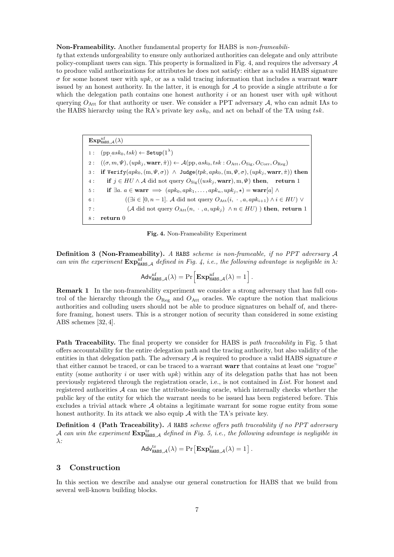Non-Frameability. Another fundamental property for HABS is non-frameabili-

ty that extends unforgeability to ensure only authorized authorities can delegate and only attribute policy-compliant users can sign. This property is formalized in Fig. 4, and requires the adversary A to produce valid authorizations for attributes he does not satisfy: either as a valid HABS signature  $\sigma$  for some honest user with upk, or as a valid tracing information that includes a warrant warr issued by an honest authority. In the latter, it is enough for  $A$  to provide a single attribute a for which the delegation path contains one honest authority i or an honest user with  $upk$  without querying  $O_{\text{Att}}$  for that authority or user. We consider a PPT adversary  $A$ , who can admit IAs to the HABS hierarchy using the RA's private key  $ask_0$ , and act on behalf of the TA using  $tsk$ .

> $\mathbf{Exp}^{\mathrm{nf}}_{\texttt{HABS},\mathcal{A}}(\lambda)$  $1: \quad (pp, ask_0, tsk) \leftarrow \texttt{Setup}(1^{\lambda})$  $((\sigma, m, \Psi), (upk_j, \textbf{warr}, \hat{\pi})) \leftarrow \mathcal{A}(pp, ask_0, tsk : O_{Att}, O_{Sig}, O_{Corr}, O_{Reg})$ if  $Verify(apk_0,(m,\Psi,\sigma)) \wedge Judge(tpk,apk_0,(m,\Psi,\sigma),(upk_i,war, \hat{\pi}))$  then 4 : if  $j \in HU \wedge A$  did not query  $O_{\text{Sig}}((usk_j, \textbf{warr}), m, \Psi)$  then, return 1 5 : if ∃a.  $a \in \text{warr} \implies (apk_0, apk_1, \ldots, apk_n, upk_j, \star) = \text{warr}[a] \land$ 6 :  $((\exists i \in [0, n-1], \mathcal{A} \text{ did not query } O_{\text{Att}}(i, \cdot, a, apk_{i+1}) \land i \in HU) \lor$ 7 :  $(\mathcal{A} \text{ did not query } O_{\text{Att}}(n, \cdot, a, upk_i) \land n \in HU)$  then, return 1  $8:$  return  $0$

Fig. 4. Non-Frameability Experiment

**Definition 3 (Non-Frameability).** A HABS scheme is non-frameable, if no PPT adversary  $A$ can win the experiment  $\text{Exp}^{\text{nf}}_{\text{HABS},\mathcal{A}}$  defined in Fig. 4, i.e., the following advantage is negligible in  $\lambda$ :

$$
\mathsf{Adv}_{\mathtt{HABS},\mathcal{A}}^{\mathrm{nf}}(\lambda)=\Pr\left[\mathbf{Exp}_{\mathtt{HABS},\mathcal{A}}^{\mathrm{nf}}(\lambda)=1\right].
$$

Remark 1 In the non-frameability experiment we consider a strong adversary that has full control of the hierarchy through the  $O_{\text{Reg}}$  and  $O_{\text{Att}}$  oracles. We capture the notion that malicious authorities and colluding users should not be able to produce signatures on behalf of, and therefore framing, honest users. This is a stronger notion of security than considered in some existing ABS schemes [32, 4].

Path Traceability. The final property we consider for HABS is *path traceability* in Fig. 5 that offers accountability for the entire delegation path and the tracing authority, but also validity of the entities in that delegation path. The adversary  $A$  is required to produce a valid HABS signature  $\sigma$ that either cannot be traced, or can be traced to a warrant warr that contains at least one "rogue" entity (some authority i or user with  $upk$ ) within any of its delegation paths that has not been previously registered through the registration oracle, i.e., is not contained in List. For honest and registered authorities  $A$  can use the attribute-issuing oracle, which internally checks whether the public key of the entity for which the warrant needs to be issued has been registered before. This excludes a trivial attack where  $A$  obtains a legitimate warrant for some rogue entity from some honest authority. In its attack we also equip  $A$  with the TA's private key.

Definition 4 (Path Traceability). A HABS scheme offers path traceability if no PPT adversary A can win the experiment  $\text{Exp}_{\text{HABS},\mathcal{A}}^{tr}$  defined in Fig. 5, i.e., the following advantage is negligible in λ:

$$
\mathsf{Adv}_{\mathtt{HABS},\mathcal{A}}^{\mathrm{tr}}(\lambda)=\Pr\left[\mathbf{Exp}_{\mathtt{HABS},\mathcal{A}}^{\mathrm{tr}}(\lambda)=1\right].
$$

#### 3 Construction

In this section we describe and analyse our general construction for HABS that we build from several well-known building blocks.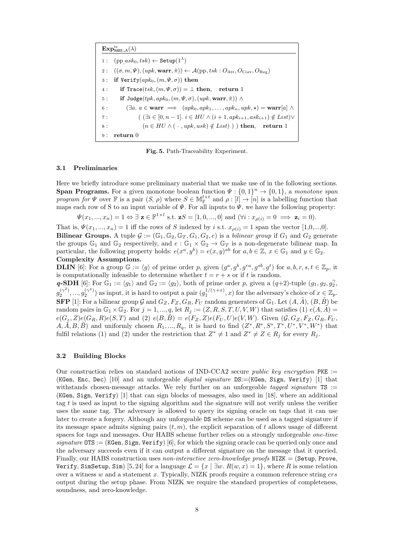```
\mathbf{Exp}_{\texttt{HABS},\mathcal{A}}^\text{tr}(\lambda)1: \quad ({\rm pp}_\cdot ask_0,tsk) \leftarrow {\tt Setup}(1^\lambda)2: ((\sigma, m, \Psi), (upk, \textbf{warr}, \hat{\pi})) \leftarrow \mathcal{A}(\text{pp}, \text{tsk} : O_{\text{Att}}, O_{\text{Corr}}, O_{\text{Reg}})3: if Verify(apk_0,(m,\Psi,\sigma)) then
4 : if Trace(tsk,(m,\Psi,\sigma)) = \bot then, return 1
5 : if Judge(tpk, apk_0, (m, \Psi, \sigma), (upk, warr, \hat{\pi})) \wedge6 : (\exists a. a \in \text{warr} \implies (apk_0, apk_1, \dots, apk_n, upk, \star) = \text{warr}[a] \land7 : ( \exists i \in [0, n-1]. \ i \in HU \wedge (i+1, apk_{i+1}, ask_{i+1}) \notin List) \vee8 : (n \in HU \wedge (\cdot, upk, usk) \notin List) ) ) then, return 1
9 : return 0
```
Fig. 5. Path-Traceability Experiment.

#### 3.1 Preliminaries

Here we briefly introduce some preliminary material that we make use of in the following sections. **Span Programs.** For a given monotone boolean function  $\Psi : \{0,1\}^n \to \{0,1\}$ , a monotone span program for  $\Psi$  over  $\mathbb F$  is a pair  $(S, \rho)$  where  $S \in \mathbb M_\mathbb F^{l \times t}$  and  $\rho : [l] \to [n]$  is a labelling function that maps each row of S to an input variable of  $\Psi$ . For all inputs to  $\Psi$ , we have the following property:

 $\Psi(x_1, ..., x_n) = 1 \Leftrightarrow \exists \mathbf{z} \in \mathbb{F}^{1 \times l} \text{ s.t. } \mathbf{z}S = [1, 0, ..., 0] \text{ and } (\forall i : x_{\rho(i)} = 0 \implies \mathbf{z}_i = 0).$ 

That is,  $\Psi(x_1, ..., x_n) = 1$  iff the rows of S indexed by i s.t.  $x_{\rho(i)} = 1$  span the vector [1,0,...,0]. **Bilinear Groups.** A tuple  $\mathcal{G} := (\mathbb{G}_1, \mathbb{G}_2, \mathbb{G}_T, G_1, G_2, e)$  is a *bilinear group* if  $G_1$  and  $G_2$  generate the groups  $\mathbb{G}_1$  and  $\mathbb{G}_2$  respectively, and  $e : \mathbb{G}_1 \times \mathbb{G}_2 \to \mathbb{G}_T$  is a non-degenerate bilinear map. In particular, the following property holds:  $e(x^a, y^b) = e(x, y)^{ab}$  for  $a, b \in \mathbb{Z}$ ,  $x \in \mathbb{G}_1$  and  $y \in \mathbb{G}_2$ . Complexity Assumptions.

**DLIN** [6]: For a group  $\mathbb{G} := \langle g \rangle$  of prime order p, given  $(g^a, g^b, g^{ra}, g^{sb}, g^t)$  for  $a, b, r, s, t \in \mathbb{Z}_p$ , it is computationally infeasible to determine whether  $t = r + s$  or if t is random.

**q-SDH** [6]: For  $\mathbb{G}_1 := \langle g_1 \rangle$  and  $\mathbb{G}_2 := \langle g_2 \rangle$ , both of prime order p, given a  $(q+2)$ -tuple  $(g_1, g_2, g_2)$ ,  $(g_2^{(\gamma^2)},...,g_2^{(\gamma^q)})$  as input, it is hard to output a pair  $(g_1^{1/(\gamma+x)},x)$  for the adversary's choice of  $x \in \mathbb{Z}_p$ . **SFP** [1]: For a bilinear group G and  $G_Z$ ,  $F_Z$ ,  $G_R$ ,  $F_U$  random generaters of  $\mathbb{G}_1$ . Let  $(A, \tilde{A})$ ,  $(B, \tilde{B})$  be random pairs in  $\mathbb{G}_1 \times \mathbb{G}_2$ . For  $j = 1, ..., q$ , let  $R_j := (Z, R, S, T, U, V, W)$  that satisfies (1)  $e(A, \tilde{A}) =$  $e(G_z, Z)e(G_R, R)e(S, T)$  and (2)  $e(B, \tilde{B}) = e(F_Z, Z)e(F_U, U)e(V, W)$ . Given  $(\mathcal{G}, G_Z, F_Z, G_R, F_U, G_R)$  $A, \tilde{A}, B, \tilde{B}$  and uniformly chosen  $R_1, ..., R_q$ , it is hard to find  $(Z^*, R^*, S^*, T^*, U^*, V^*, W^*)$  that fulfil relations (1) and (2) under the restriction that  $Z^* \neq 1$  and  $Z^* \neq Z \in R_j$  for every  $R_j$ .

#### 3.2 Building Blocks

Our construction relies on standard notions of IND-CCA2 secure *public key encryption* PKE := (KGen, Enc, Dec)  $[10]$  and an unforgeable *digital signature*  $DS:=(KGen, Sign, Verify)$  [1] that withstands chosen-message attacks. We rely further on an unforgeable tagged signature  $TS :=$ (KGen, Sign, Verify) [1] that can sign blocks of messages, also used in [18], where an additional tag t is used as input to the signing algorithm and the signature will not verify unless the verifier uses the same tag. The adversary is allowed to query its signing oracle on tags that it can use later to create a forgery. Although any unforgeable DS scheme can be used as a tagged signature if its message space admits signing pairs  $(t, m)$ , the explicit separation of t allows usage of different spaces for tags and messages. Our HABS scheme further relies on a strongly unforgeable *one-time* signature  $OTS := (KGen, Sign, Verify) [6], for which the signing oracle can be queried only once and$ the adversary succeeds even if it can output a different signature on the message that it queried. Finally, our HABS construction uses non-interactive zero-knowledge proofs NIZK = (Setup, Prove, Verify, SimSetup, Sim) [5, 24] for a language  $\mathcal{L} = \{x \mid \exists w. R(w, x) = 1\}$ , where R is some relation over a witness  $w$  and a statement  $x$ . Typically, NIZK proofs require a common reference string  $crs$ output during the setup phase. From NIZK we require the standard properties of completeness, soundness, and zero-knowledge.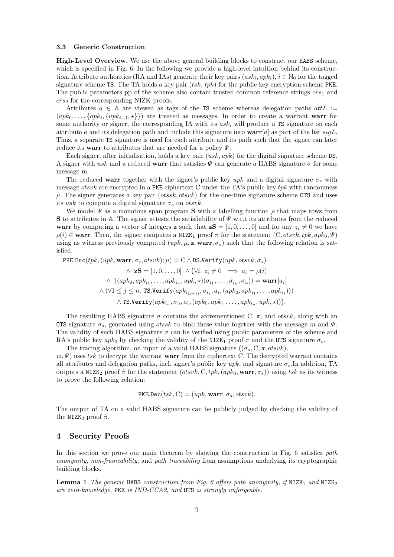#### 3.3 Generic Construction

High-Level Overview. We use the above general building blocks to construct our HABS scheme, which is specified in Fig. 6. In the following we provide a high-level intuition behind its construction. Attribute authorities (RA and IAs) generate their key pairs  $(ask_i, apk_i), i \in \mathbb{N}_0$  for the tagged signature scheme TS. The TA holds a key pair  $(tsk, tpk)$  for the public key encryption scheme PKE. The public parameters pp of the scheme also contain trusted common reference strings  $crs<sub>1</sub>$  and  $crs<sub>2</sub>$  for the corresponding NIZK proofs.

Attributes  $a \in A$  are viewed as tags of the TS scheme whereas delegation paths  $attL :=$  $(apk_0, \ldots, \{apk_i, \{upk_{i+1}, \star\}\})$  are treated as messages. In order to create a warrant warr for some authority or signer, the corresponding IA with its  $ask<sub>i</sub>$  will produce a TS signature on each attribute a and its delegation path and include this signature into  $\textbf{warr}[a]$  as part of the list  $sigL$ . Thus, a separate TS signature is used for each attribute and its path such that the signer can later reduce its **warr** to attributes that are needed for a policy  $\Psi$ .

Each signer, after initialisation, holds a key pair  $(usk, upk)$  for the digital signature scheme DS. A signer with usk and a reduced warr that satisfies  $\Psi$  can generate a HABS signature  $\sigma$  for some message m.

The reduced warr together with the signer's public key upk and a digital signature  $\sigma_s$  with message otsvk are encrypted in a PKE ciphertext C under the TA's public key  $tpk$  with randomness  $\mu$ . The signer generates a key pair (*otssk, otsvk*) for the one-time signature scheme OTS and uses its usk to compute a digital signature  $\sigma_s$  on *otsvk*.

We model  $\Psi$  as a monotone span program **S** with a labelling function  $\rho$  that maps rows from **S** to attributes in A. The signer attests the satisfiability of  $\Psi$  w.r.t its attributes from the reduced warr by computing a vector of integers **z** such that  $zS = [1, 0, \ldots, 0]$  and for any  $z_i \neq 0$  we have  $\rho(i) \in \text{warr. Then, the signer computes a NIZK<sub>1</sub> proof } \pi$  for the statement  $(C, otsvk, tpk, apk_0, \Psi)$ using as witness previously computed  $(\mu p k, \mu, \mathbf{z}, \mathbf{warr}, \sigma_s)$  such that the following relation is satisfied:

PKE.Enc(tpk, (upk, warr,  $\sigma_s$ , otsvk);  $\mu$ ) = C  $\wedge$  DS.Verify(upk, otsvk,  $\sigma_s$ )

$$
\wedge \mathbf{zS} = [1, 0, \dots, 0] \wedge (\forall i. \ z_i \neq 0 \implies a_i = \rho(i)
$$
  

$$
\wedge ((ap_{0}, apk_{i_1}, \dots, apk_{i_n}, upk, \star)(\sigma_{i_1}, \dots, \sigma_{i_n}, \sigma_u)) = \mathbf{warr}[a_i]
$$
  

$$
\wedge (\forall 1 \leq j \leq n. \mathbf{TS}.\mathbf{Verify}(apk_{i_{(j-1)}}, \sigma_{i_j}, a_i, (apk_0, apk_{i_1}, \dots, apk_{i_j})))
$$
  

$$
\wedge \mathbf{TS}.\mathbf{Verify}(apk_{i_n}, \sigma_u, a_i, (apk_0, apk_{i_1}, \dots, apk_{i_n}, upk, \star))).
$$

The resulting HABS signature  $\sigma$  contains the aforementioned C,  $\pi$ , and *otsvk*, along with an OTS signature  $\sigma_o$ , generated using *otssk* to bind these value together with the message m and  $\Psi$ . The validity of such HABS signature  $\sigma$  can be verified using public parameters of the scheme and RA's public key apk<sub>0</sub> by checking the validity of the NIZK<sub>1</sub> proof  $\pi$  and the OTS signature  $\sigma_o$ .

The tracing algorithm, on input of a valid HABS signature  $((\sigma_o, C, \pi, otsvk))$ ,

 $(m, \Psi)$  uses tsk to decrypt the warrant warr from the ciphertext C. The decrypted warrant contains all attributes and delegation paths, incl. signer's public key  $upk$ , and signature  $\sigma_s$ . In addition, TA outputs a NIZK<sub>2</sub> proof  $\hat{\pi}$  for the statement  $(otsv, C, tpk, (apk_0, warr, \sigma_s))$  using tsk as its witness to prove the following relation:

PKE.Dec(
$$
tsk
$$
, C) = ( $upk$ , **warr**,  $\sigma_s$ ,  $otsvk$ ).

The output of TA on a valid HABS signature can be publicly judged by checking the validity of the NIZK<sub>2</sub> proof  $\hat{\pi}$ .

## 4 Security Proofs

In this section we prove our main theorem by showing the construction in Fig. 6 satisfies *path* anonymity, non-frameability, and path traceability from assumptions underlying its cryptographic building blocks.

**Lemma 1** The generic HABS construction from Fig. 6 offers path anonymity, if  $NIZK<sub>1</sub>$  and  $NIZK<sub>2</sub>$ are zero-knowledge, PKE is IND-CCA2, and OTS is strongly unforgeable.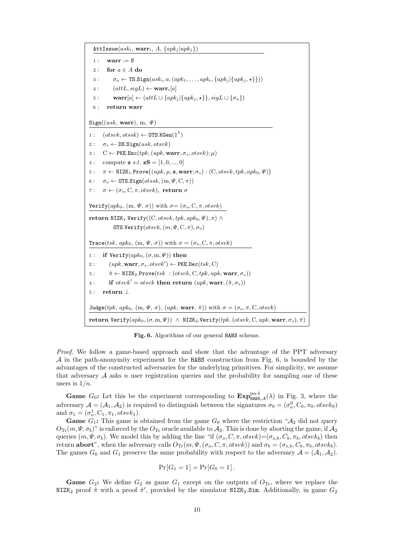AttIssue $(ask_i, warm_i, A, {apk_j | upk_j})$ 1 : warr :=  $\emptyset$ 2 : for  $a \in A$  do 3 :  $\sigma_a \leftarrow \texttt{TS}.Sign}(ask_i, a, (apk_1, \ldots, apk_i, \{apk_j | \{upk_j, \star\}\})$ 4 :  $(attL, sigL) \leftarrow \textbf{warr}_i[a]$ 5 : warr[a] ←  $(attL \cup \{apk_j | \{upk_j, \star\} \}, sigL \cup \{\sigma_a\})$ 6 : return warr  $Sign((usk, warr), m, \Psi)$  $1: (otsvk, otssk) \leftarrow \texttt{OTS.KGen}(1^{\lambda})$ 2:  $\sigma_s \leftarrow \text{DS.Sign}(usk,otsyk)$  $3: \quad C \leftarrow \text{PKE}.\text{Enc}(\text{tpk}, (\text{upk}, \text{warr}, \sigma_s, \text{ots} \nu) ; \mu)$ 4 : compute **z** s.t.  $zS = [1, 0, ..., 0]$ 5:  $\pi \leftarrow \texttt{NIZK}_1.\texttt{Prove}((upk, \mu, \mathbf{z}, \textbf{warr}, \sigma_s) : (C, otsvk, tpk, apk_0, \Psi))$ 6 :  $\sigma_o \leftarrow \texttt{OTS.Sign}(otssk, (m, \Psi, C, \pi))$ 7:  $\sigma \leftarrow (\sigma_o, C, \pi, otsvk)$ , return  $\sigma$ Verify $(apk_0, (m, \Psi, \sigma))$  with  $\sigma = (\sigma_o, C, \pi, otsvk)$ return NIZK<sub>1</sub>.Verify $((C,otsk, tpk, apk_0, \Psi), \pi) \wedge$ OTS.Verify $(otsv k, (m, \Psi, C, \pi), \sigma_o)$ Trace(tsk, apk<sub>0</sub>, (m,  $\Psi$ ,  $\sigma$ )) with  $\sigma = (\sigma_o, C, \pi, otsv)$ 1 : if  $Verify(apk_0, (\sigma, m, \Psi))$  then 2:  $(upk, \textbf{warr}, \sigma_s, otsvk') \leftarrow \texttt{PKE.Dec}(tsk, C)$ 3 :  $\hat{\pi} \leftarrow \text{NIZK}_2.\text{Prove}(tsk : (otsvk, C, tpk, upk, \text{warr}, \sigma_s))$ 4: if  $otsvk' = otsvk$  then return  $(upk, warr,(\hat{\pi}, \sigma_s))$ 5 : return ⊥ Judge(tpk, apk<sub>0</sub>, (m,  $\Psi$ ,  $\sigma$ ), (upk, warr,  $\hat{\pi}$ )) with  $\sigma = (\sigma_o, \pi, C, otsvk)$ return Verify $(apk_0, (\sigma, m, \Psi)) \; \wedge \; \texttt{NIZK}_2$ .Verify $(tpk, (otsvk, C, upk, \textbf{warr}, \sigma_s), \hat{\pi})$ 

Fig. 6. Algorithms of our general HABS scheme.

Proof. We follow a game-based approach and show that the advantage of the PPT adversary  $\mathcal A$  in the path-anonymity experiment for the HABS construction from Fig. 6, is bounded by the advantages of the constructed adversaries for the underlying primitives. For simplicity, we assume that adversary  $A$  asks n user registration queries and the probability for sampling one of these users is  $1/n$ .

**Game**  $G_0$ : Let this be the experiment corresponding to  $\mathbf{Exp}_{HABS,A}^{pa-b}(\lambda)$  in Fig. 3, where the adversary  $A = (A_1, A_2)$  is required to distinguish between the signatures  $\sigma_0 = (\sigma_0^0, C_0, \pi_0, otsv k_0)$ and  $\sigma_1 = (\sigma_o^1, C_1, \pi_1, otsvk_1).$ 

**Game**  $G_1$ : This game is obtained from the game  $G_0$  where the restriction " $A_2$  did not query  $O_{\text{Tr}}(m, \Psi, \sigma_b)$ " is enforced by the  $O_{\text{Tr}}$  oracle available to  $\mathcal{A}_2$ . This is done by aborting the game, if  $\mathcal{A}_2$ queries  $(m, \Psi, \sigma_b)$ . We model this by adding the line "if  $(\sigma_o, C, \pi, otsv k)=(\sigma_{o,b}, C_b, \pi_b, otsv k_b)$  then return **abort**", when the adversary calls  $O_{\text{Tr}}(m, \Psi, (\sigma_o, C, \pi, \text{ots}))$  and  $\sigma_b = (\sigma_{o,b}, C_b, \pi_b, \text{ots})$ . The games  $G_0$  and  $G_1$  preserve the same probability with respect to the adversary  $\mathcal{A} = (\mathcal{A}_1, \mathcal{A}_2)$ .

$$
Pr[G_1 = 1] = Pr[G_0 = 1].
$$

Game  $G_2$ : We define  $G_2$  as game  $G_1$  except on the outputs of  $O_{\text{Tr}}$ , where we replace the NIZK<sub>2</sub> proof  $\hat{\pi}$  with a proof  $\hat{\pi}'$ , provided by the simulator NIZK<sub>2</sub>.Sim. Additionally, in game  $G_2$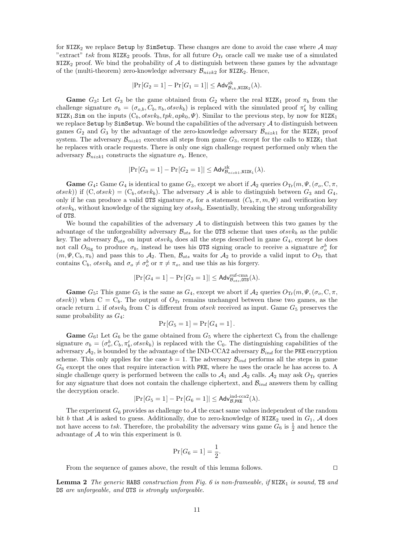for NIZK<sub>2</sub> we replace Setup by SimSetup. These changes are done to avoid the case where  $A$  may "extract" tsk from NIZK<sub>2</sub> proofs. Thus, for all future  $O_{Tr}$  oracle call we make use of a simulated NIZK<sub>2</sub> proof. We bind the probability of  $A$  to distinguish between these games by the advantage of the (multi-theorem) zero-knowledge adversary  $\mathcal{B}_{nizk2}$  for NIZK<sub>2</sub>. Hence,

$$
|\mathrm{Pr}[G_2=1]-\mathrm{Pr}[G_1=1]| \leq \mathsf{Adv}_{\mathcal{B}_{zk},\mathtt{NIZK}_2}^{\mathrm{zk}}(\lambda).
$$

Game  $G_3$ : Let  $G_3$  be the game obtained from  $G_2$  where the real NIZK<sub>1</sub> proof  $\pi_b$  from the challenge signature  $\sigma_b = (\sigma_{o,b}, C_b, \pi_b, otsv k_b)$  is replaced with the simulated proof  $\pi'_b$  by calling NIZK<sub>1</sub>.Sim on the inputs  $(C_b,otsvk_b, tpk, apk_0, \Psi)$ . Similar to the previous step, by now for NIZK<sub>1</sub> we replace Setup by SimSetup. We bound the capabilities of the adversary  $A$  to distinguish between games  $G_2$  and  $G_3$  by the advantage of the zero-knowledge adversary  $\mathcal{B}_{nizk1}$  for the NIZK<sub>1</sub> proof system. The adversary  $\mathcal{B}_{nizk1}$  executes all steps from game  $G_3$ , except for the calls to NIZK<sub>1</sub> that he replaces with oracle requests. There is only one sign challenge request performed only when the adversary  $\mathcal{B}_{nizk1}$  constructs the signature  $\sigma_b$ . Hence,

$$
|\Pr[G_3 = 1] - \Pr[G_2 = 1]| \leq \mathsf{Adv}_{\mathcal{B}_{nizk1},\mathtt{NIZK}_1}^{\mathsf{zk}}(\lambda).
$$

**Game**  $G_4$ : Game  $G_4$  is identical to game  $G_3$ , except we abort if  $\mathcal{A}_2$  queries  $O_{\text{Tr}}(m, \Psi, (\sigma_o, C, \pi,$ otsvk)) if  $(C, otsv) = (C_b, otsv k_b)$ . The adversary A is able to distinguish between  $G_3$  and  $G_4$ , only if he can produce a valid OTS signature  $\sigma_o$  for a statement  $(C_b, \pi, m, \Psi)$  and verification key  $otsw_k$ , without knowledge of the signing key  $otsk_b$ . Essentially, breaking the strong unforgeability of OTS.

We bound the capabilities of the adversary  $A$  to distinguish between this two games by the advantage of the unforgeability adversary  $\mathcal{B}_{ots}$  for the OTS scheme that uses  $otsv k_b$  as the public key. The adversary  $\mathcal{B}_{ots}$  on input  $otsv k_b$  does all the steps described in game  $G_4$ , except he does not call  $O_{\text{Sig}}$  to produce  $\sigma_b$ , instead he uses his **OTS** signing oracle to receive a signature  $\sigma_o^b$  for  $(m, \Psi, C_b, \pi_b)$  and pass this to  $\mathcal{A}_2$ . Then,  $\mathcal{B}_{ots}$  waits for  $\mathcal{A}_2$  to provide a valid input to  $O_{\text{Tr}}$  that contains  $C_b$ ,  $otsvk_b$  and  $\sigma_o \neq \sigma_o^b$  or  $\pi \neq \pi_o$ , and use this as his forgery.

$$
|\Pr[G_4=1]-\Pr[G_3=1]| \leq \mathsf{Adv}_{\mathcal{B}_{ots},\mathsf{OTS}}^{\text{euf-cma}}(\lambda).
$$

**Game**  $G_5$ : This game  $G_5$  is the same as  $G_4$ , except we abort if  $\mathcal{A}_2$  queries  $O_{\text{Tr}}(m, \Psi, (\sigma_o, C, \pi,$ otsvk)) when  $C = C_b$ . The output of  $O_{Tr}$  remains unchanged between these two games, as the oracle return  $\perp$  if otsvk<sub>b</sub> from C is different from otsvk received as input. Game  $G_5$  preserves the same probability as  $G_4$ :

$$
Pr[G_5 = 1] = Pr[G_4 = 1].
$$

**Game**  $G_6$ : Let  $G_6$  be the game obtained from  $G_5$  where the ciphertext  $C_b$  from the challenge signature  $\sigma_b = (\sigma_o^b, C_b, \pi_b^t, otsv k_b)$  is replaced with the  $C_0$ . The distinguishing capabilities of the adversary  $\mathcal{A}_2$ , is bounded by the advantage of the IND-CCA2 adversary  $\mathcal{B}_{ind}$  for the PKE encryption scheme. This only applies for the case  $b = 1$ . The adversary  $\mathcal{B}_{ind}$  performs all the steps in game  $G_6$  except the ones that require interaction with PKE, where he uses the oracle he has access to. A single challenge query is performed between the calls to  $A_1$  and  $A_2$  calls.  $A_2$  may ask  $O_{\text{Tr}}$  queries for any signature that does not contain the challenge ciphertext, and  $\mathcal{B}_{ind}$  answers them by calling the decryption oracle.

$$
|\Pr[G_5 = 1] - \Pr[G_6 = 1]| \leq \mathsf{Adv}_{\mathcal{B}, \mathsf{PKE}}^{\mathsf{ind-cca2}}(\lambda).
$$

The experiment  $G_6$  provides as challenge to A the exact same values independent of the random bit b that A is asked to guess. Additionally, due to zero-knowledge of  $NIZK<sub>2</sub>$  used in  $G<sub>1</sub>$ , A does not have access to tsk. Therefore, the probability the adversary wins game  $G_6$  is  $\frac{1}{2}$  and hence the advantage of  $A$  to win this experiment is 0.

$$
\Pr[G_6 = 1] = \frac{1}{2}.
$$

From the sequence of games above, the result of this lemma follows.  $\square$ 

**Lemma 2** The generic HABS construction from Fig. 6 is non-frameable, if  $NIZK<sub>1</sub>$  is sound, TS and DS are unforgeable, and OTS is strongly unforgeable.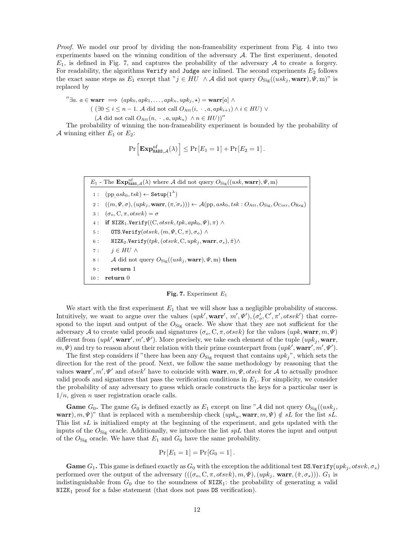Proof. We model our proof by dividing the non-frameability experiment from Fig. 4 into two experiments based on the winning condition of the adversary  $A$ . The first experiment, denoted  $E_1$ , is defined in Fig. 7, and captures the probability of the adversary A to create a forgery. For readability, the algorithms Verify and Judge are inlined. The second experiments  $E_2$  follows the exact same steps as  $E_1$  except that " $j \in HU \land A$  did not query  $O_{\text{Sig}}((usk_j, \text{warr}), \Psi, m)$ " is replaced by

$$
\begin{aligned}\n\text{``} \exists a. \ a \in \textbf{warr} \implies (ap_{0}, ap_{1}, \dots, ap_{n}, up_{j}, \star) = \textbf{warr}[a] \land \\
&\quad (\text{``} \exists 0 \leq i \leq n-1. \ \mathcal{A} \text{ did not call } O_{\text{Att}}(i, \cdot, a, ap_{i+1}) \land i \in HU) \lor \\
&\quad (\mathcal{A} \text{ did not call } O_{\text{Att}}(n, \cdot, a, up_{k_u}) \land n \in HU))\n\end{aligned}
$$

The probability of winning the non-frameability experiment is bounded by the probability of A winning either  $E_1$  or  $E_2$ :

$$
\Pr\left[\mathbf{Exp}_{\texttt{HABS},\mathcal{A}}^{\text{nf}}(\lambda)\right] \leq \Pr\left[E_1 = 1\right] + \Pr\left[E_2 = 1\right].
$$

 $E_1$  - The  $\mathbf{Exp}_{\texttt{HABS},\mathcal{A}}^{\text{nf}}(\lambda)$  where A did not query  $O_{\texttt{Sig}}((usk,\textbf{warr}),\Psi,m)$  $1: \quad (pp, ask_0, tsk) \leftarrow \texttt{Setup}(1^{\lambda})$ 2 :  $((m, \Psi, \sigma), (upk_j, \textbf{warr}, (\pi, \hat{\sigma}_s))) \leftarrow \mathcal{A}(pp, ask_0, tsk : O_{\text{Att}}, O_{\text{Sig}}, O_{\text{Corr}}, O_{\text{Reg}})$  $3: (\sigma_o, C, \pi, otsvk) = \sigma$ 4 : if NIZK1.Verify $((C,otsk, tpk, apk_0, \Psi), \pi) \wedge$  $\texttt{OTS.Verify}(otsvk, (m, \Psi, \text{C}, \pi), \sigma_o) \land$ 6 : NIZK<sub>2</sub>.Verify $(tpk, (otsvk, C, upk_j, \textbf{warr}, \sigma_s), \hat{\pi}) \wedge$ 7 :  $j \in HU \wedge$ A did not query  $O_{\text{Sig}}((usk_j, \textbf{warr}), \Psi, \textbf{m})$  then 9 : **return** 1 10 : return 0

Fig. 7. Experiment  $E_1$ 

We start with the first experiment  $E_1$  that we will show has a negligible probability of success. Intuitively, we want to argue over the values  $(upk', \textbf{warr}', m', \Psi'), (\sigma'_{o}, C', \pi', \textit{otsuk}')$  that correspond to the input and output of the  $O_{\text{Sig}}$  oracle. We show that they are not sufficient for the adversary A to create valid proofs and signatures  $(\sigma_o, C, \pi, otsvk)$  for the values  $(upk, warm, \Psi)$ different from  $(upk', \textbf{warr}', m', \Psi')$ . More precisely, we take each element of the tuple  $(upk_j, \textbf{warr}, \Psi')$  $(m, \Psi)$  and try to reason about their relation with their prime counterpart from  $(npk', \textbf{warr}', m', \Psi')$ .

The first step considers if "there has been any  $O_{\text{Sig}}$  request that contains  $upk_j$ ", which sets the direction for the rest of the proof. Next, we follow the same methodology by reasoning that the values warr',  $m'$ ,  $\Psi'$  and otsvk' have to coincide with warr, m,  $\Psi$ , otsvk for A to actually produce valid proofs and signatures that pass the verification conditions in  $E_1$ . For simplicity, we consider the probability of any adversary to guess which oracle constructs the keys for a particular user is  $1/n$ , given *n* user registration oracle calls.

**Game**  $G_0$ . The game  $G_0$  is defined exactly as  $E_1$  except on line "A did not query  $O_{\text{Sig}}((usk_j,$ warr),  $m, \Psi$ )" that is replaced with a membership check  $(upk_u, \text{warm}, \Psi) \notin sL$  for the list  $sL$ . This list sL is initialized empty at the beginning of the experiment, and gets updated with the inputs of the  $O_{\text{Sig}}$  oracle. Additionally, we introduce the list spL that stores the input and output of the  $O_{\text{Sig}}$  oracle. We have that  $E_1$  and  $G_0$  have the same probability.

$$
Pr[E_1 = 1] = Pr[G_0 = 1].
$$

**Game**  $G_1$ . This game is defined exactly as  $G_0$  with the exception the additional test DS.Verify(upk<sub>j</sub>, otsvk,  $\sigma_s$ ) performed over the output of the adversary  $(((\sigma_o, \mathcal{C}, \pi, \text{ots} \mathcal{W}), (upk_i, \text{warm}, (\hat{\pi}, \sigma_s))).$  G<sub>1</sub> is indistinguishable from  $G_0$  due to the soundness of NIZK<sub>1</sub>: the probability of generating a valid  $NIZK<sub>1</sub>$  proof for a false statement (that does not pass DS verification).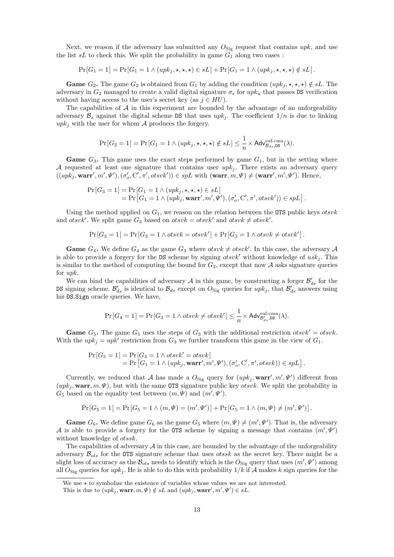Next, we reason if the adversary has submitted any  $O_{\text{Sig}}$  request that contains  $upk$ , and use the list  $sL$  to check this. We split the probability in game  $G_1$  along two cases:

$$
\Pr[G_1 = 1] = \Pr[G_1 = 1 \land (upk_j, \star, \star, \star) \in sL] + \Pr[G_1 = 1 \land (upk_j, \star, \star, \star) \notin sL].
$$

**Game**  $G_2$ . The game  $G_2$  is obtained from  $G_1$  by adding the condition  $(upk_i, \star, \star, \star) \notin sL$ . The adversary in  $G_2$  managed to create a valid digital signature  $\sigma_s$  for upk<sub>u</sub> that passes DS verification without having access to the user's secret key (as  $j \in HU$ ).

The capabilities of  $A$  in this experiment are bounded by the advantage of an unforgeability adversary  $\mathcal{B}_s$  against the digital scheme DS that uses  $upk_j$ . The coefficient  $1/n$  is due to linking  $upk_i$  with the user for whom A produces the forgery.

$$
\Pr[G_2 = 1] = \Pr[G_1 = 1 \land (upk_j, \star, \star, \star) \notin sL] \leq \frac{1}{n} \times \mathsf{Adv}_{\mathcal{B}_{ds}, \mathsf{DS}}^{\text{euf-cma}}(\lambda).
$$

**Game**  $G_3$ . This game uses the exact steps performed by game  $G_1$ , but in the setting where A requested at least one signature that contains user  $upk_j$ . There exists an adversary query  $((upk<sub>j</sub>, warr', m', \Psi'), (\sigma'_{o}, C', \pi', otsvk')) \in spL with (warr, m, \Psi) \neq (warr', m', \Psi').$  Hence,

$$
\Pr[G_3 = 1] = \Pr[G_1 = 1 \land (upk_j, \star, \star, \star) \in sL] \n= \Pr[G_1 = 1 \land (upk_j, \text{warr}', m', \Psi'), (\sigma'_o, C', \pi', otsvk']) \in spL].
$$

Using the method applied on  $G_1$ , we reason on the relation between the OTS public keys *otsvk* and otsvk'. We split game  $G_3$  based on  $otswk = otsvk'$  and  $otsvk \neq otsvk'.$ 

$$
Pr[G_3 = 1] = Pr[G_3 = 1 \land otsvk = otsvk'] + Pr[G_3 = 1 \land otsvk \neq otsvk'].
$$

**Game**  $G_4$ . We define  $G_4$  as the game  $G_3$  where  $otswk \neq otswk'$ . In this case, the adversary A is able to provide a forgery for the DS scheme by signing  $otsw'$  without knowledge of  $usk_j$ . This is similar to the method of computing the bound for  $G_2$ , except that now A asks signature queries for upk.

We can bind the capabilities of adversary  $A$  in this game, by constructing a forger  $\mathcal{B}'_{ds}$  for the DS signing scheme.  $\mathcal{B}'_{ds}$  is identical to  $\mathcal{B}_{ds}$  except on  $O_{\text{Sig}}$  queries for  $upk_j$ , that  $\mathcal{B}'_{ds}$  answers using his DS.Sign oracle queries. We have,

$$
\Pr\left[G_4=1\right]=\Pr\left[G_3=1 \wedge \text{ots} \right] \neq \text{ots} \left| \leq \frac{1}{n} \times \text{Adv}_{\mathcal{B}_{ds}',\text{DS}}^{\text{euf-cma}}(\lambda).
$$

**Game**  $G_5$ . The game  $G_5$  uses the steps of  $G_3$  with the additional restriction otsvk' = otsvk. With the  $upk_j = upk'$  restriction from  $G_3$  we further transform this game in the view of  $G_1$ .

$$
\Pr[G_5 = 1] = \Pr[G_3 = 1 \land \text{otsvk'} = \text{otsvk}] \n= \Pr[G_1 = 1 \land (\text{upk}_j, \text{warr}', m', \Psi'), (\sigma'_o, C', \pi', \text{otsvk})) \in spL].
$$

Currently, we reduced that A has made a  $O_{\text{Sig}}$  query for  $(upk_j, \text{warr}', m', \Psi')$  different from  $(upk<sub>j</sub>, warr, m, \Psi)$ , but with the same OTS signature public key *otsvk*. We split the probability in  $G_5$  based on the equality test between  $(m, \Psi)$  and  $(m', \Psi')$ .

$$
Pr[G_5 = 1] = Pr[G_5 = 1 \wedge (m, \Psi) = (m', \Psi')] + Pr[G_5 = 1 \wedge (m, \Psi) \neq (m', \Psi')].
$$

**Game**  $G_6$ . We define game  $G_6$  as the game  $G_5$  where  $(m, \Psi) \neq (m', \Psi')$ . That is, the adversary A is able to provide a forgery for the OTS scheme by signing a message that contains  $(m', \Psi')$ without knowledge of *otssk*.

The capabilities of adversary  $\mathcal A$  in this case, are bounded by the advantage of the unforgeability adversary  $\mathcal{B}_{ots}$  for the OTS signature scheme that uses *otssk* as the secret key. There might be a slight loss of accuracy as the  $\mathcal{B}_{ots}$  needs to identify which is the  $O_{\text{Sig}}$  query that uses  $(m', \Psi')$  among all  $O_{\text{Sig}}$  queries for upk<sub>j</sub>. He is able to do this with probability  $1/k$  if A makes k sign queries for the

We use  $\star$  to symbolize the existence of variables whose values we are not interested.

This is due to  $(upk_j, \textbf{warr}, m, \Psi) \notin sL$  and  $(upk_j, \textbf{warr}', m', \Psi') \in sL$ .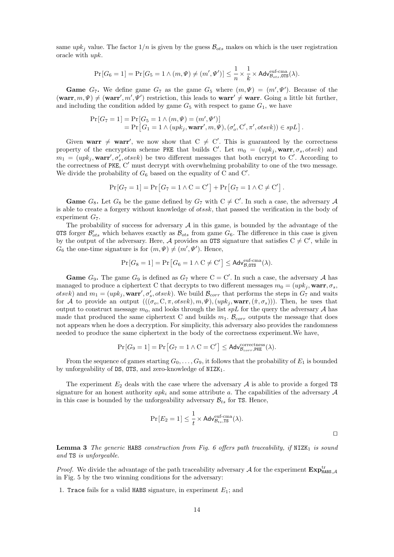same upk<sub>i</sub> value. The factor  $1/n$  is given by the guess  $\mathcal{B}_{ots}$  makes on which is the user registration oracle with upk.

$$
\Pr[G_6=1]=\Pr[G_5=1\wedge (m,\Psi)\neq (m',\Psi')]\leq \frac{1}{n}\times \frac{1}{k}\times \mathsf{Adv}_{\mathcal{B}_{ots},\mathsf{OTS}}^{\text{euf-cma}}(\lambda).
$$

**Game**  $G_7$ . We define game  $G_7$  as the game  $G_5$  where  $(m, \Psi) = (m', \Psi')$ . Because of the  $(\text{warr}, m, \Psi) \neq (\text{warr}', m', \Psi')$  restriction, this leads to warr'  $\neq$  warr. Going a little bit further, and including the condition added by game  $G_5$  with respect to game  $G_1$ , we have

$$
\Pr[G_7 = 1] = \Pr[G_5 = 1 \land (m, \Psi) = (m', \Psi')]
$$
  
= 
$$
\Pr[G_1 = 1 \land (upk_j, \text{warr}', m, \Psi), (\sigma'_o, C', \pi', otsvk)) \in spL].
$$

Given warr  $\neq$  warr', we now show that  $C \neq C'$ . This is guaranteed by the correctness property of the encryption scheme PKE that builds C'. Let  $m_0 = (upk_j, \textbf{warm}, \sigma_s, otsvk)$  and  $m_1 = (upk_j, \textbf{warr}', \sigma_s', otsvk)$  be two different messages that both encrypt to C'. According to the correctness of PKE,  $C'$  must decrypt with overwhelming probability to one of the two message. We divide the probability of  $G_6$  based on the equality of C and C'.

$$
Pr[G_7 = 1] = Pr[G_7 = 1 \wedge C = C'] + Pr[G_7 = 1 \wedge C \neq C'] .
$$

**Game**  $G_8$ . Let  $G_8$  be the game defined by  $G_7$  with  $C \neq C'$ . In such a case, the adversary A is able to create a forgery without knowledge of otssk, that passed the verification in the body of experiment  $G_7$ .

The probability of success for adversary  $A$  in this game, is bounded by the advantage of the OTS forger  $\mathcal{B}'_{ots}$  which behaves exactly as  $\mathcal{B}_{ots}$  from game  $G_6$ . The difference in this case is given by the output of the adversary. Here, A provides an OTS signature that satisfies  $C \neq C'$ , while in  $G_6$  the one-time signature is for  $(m, \Psi) \neq (m', \Psi')$ . Hence,

$$
\Pr\left[G_8=1\right]=\Pr\left[G_6=1 \land \mathrm{C} \neq \mathrm{C}'\right] \leq \mathsf{Adv}_{\mathcal{B},\text{OTS}}^{\text{euf-cma}}(\lambda).
$$

**Game**  $G_9$ . The game  $G_9$  is defined as  $G_7$  where  $C = C'$ . In such a case, the adversary A has managed to produce a ciphertext C that decrypts to two different messages  $m_0 = (upk_i, \textbf{warr}, \sigma_s,$ otsvk) and  $m_1 = (upk_j, \textbf{warr}', \sigma'_s, otsvk)$ . We build  $\mathcal{B}_{corr}$  that performs the steps in  $G_7$  and waits for A to provide an output  $(((\sigma_o, \text{C}, \pi, \text{ots}), m, \Psi), (\text{upk}_i, \text{warr}, (\hat{\pi}, \sigma_s)))$ . Then, he uses that output to construct message  $m_0$ , and looks through the list spL for the query the adversary A has made that produced the same ciphertext C and builds  $m_1$ .  $\mathcal{B}_{corr}$  outputs the message that does not appears when he does a decryption. For simplicity, this adversary also provides the randomness needed to produce the same ciphertext in the body of the correctness experiment.We have,

$$
\Pr[G_9 = 1] = \Pr\left[G_7 = 1 \land C = C'\right] \leq \mathsf{Adv}_{\mathcal{B}_{corr},\mathsf{PKE}}^{\text{correctness}}(\lambda).
$$

From the sequence of games starting  $G_0, \ldots, G_9$ , it follows that the probability of  $E_1$  is bounded by unforgeability of  $DS$ ,  $OTS$ , and zero-knowledge of  $NIZK<sub>1</sub>$ .

The experiment  $E_2$  deals with the case where the adversary  $A$  is able to provide a forged TS signature for an honest authority  $apk_i$  and some attribute a. The capabilities of the adversary  $A$ in this case is bounded by the unforgeability adversary  $\mathcal{B}_{ts}$  for TS. Hence,

$$
\Pr\left[E_2 = 1\right] \le \frac{1}{t} \times \mathsf{Adv}_{\mathcal{B}_{ts}, \mathsf{TS}}^{\text{euf-cma}}(\lambda).
$$

**Lemma 3** The generic HABS construction from Fig. 6 offers path traceability, if  $NIZK<sub>1</sub>$  is sound and TS is unforgeable.

*Proof.* We divide the advantage of the path traceability adversary A for the experiment  $\text{Exp}_{\text{HABS},\mathcal{A}}^{\text{tr}}$ in Fig. 5 by the two winning conditions for the adversary:

1. Trace fails for a valid HABS signature, in experiment  $E_1$ ; and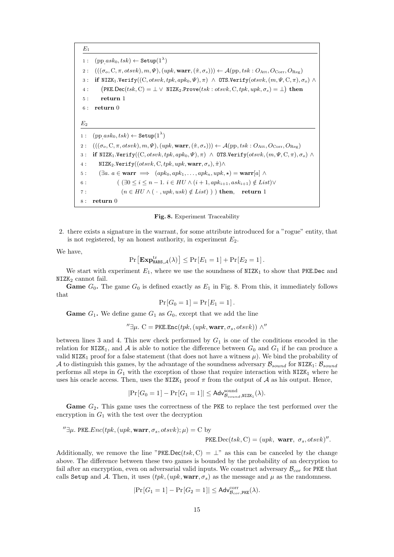$E_1$ 1:  $(pp, ask_0, tsk) \leftarrow \texttt{Setup}(1^{\lambda})$ 2 :  $(((\sigma_o, C, \pi, \text{ots}v), m, \Psi), (\text{upk}, \text{warr}, (\hat{\pi}, \sigma_s))) \leftarrow \mathcal{A}(\text{pp}, \text{tsk} : O_{\text{Att}}, O_{\text{Corr}}, O_{\text{Reg}})$ 3: if NIZK<sub>1</sub>.Verify( $(C, otsvk, tpk_0, \Psi), \pi$ )  $\wedge$  OTS.Verify( $otsvk, (m, \Psi, C, \pi), \sigma_o$ )  $\wedge$ 4 :  $(PKE. Dec(tsk, C) = \bot \vee NIZK_2.Prove(tsk:otsvk, C, tpk, upk, \sigma_s) = \bot)$  then 5: return 1 6 : return 0  $E<sub>2</sub>$  $1: \quad ({\rm pp}_i ask_0, tsk) \leftarrow {\tt Setup}(1^\lambda)$ 2 :  $(((\sigma_o, \mathcal{C}, \pi, otsvk), m, \Psi), (upk, \textbf{warr}, (\hat{\pi}, \sigma_s))) \leftarrow \mathcal{A}(\text{pp}, tsk : O_{\text{Att}}, O_{\text{Corr}}, O_{\text{Reg}})$ 3: if NIZK<sub>1</sub>.Verify( $(C,otsvk, npk_0, \Psi), \pi$ )  $\land$  OTS.Verify $(otsvk, (m, \Psi, C, \pi), \sigma_o)$   $\land$ 4 : NIZK<sub>2</sub>.Verify(( $otsv$ k, C, tpk, upk, warr,  $\sigma_s$ ),  $\hat{\pi}$ ) $\wedge$ 5 :  $(\exists a. a \in \textbf{warm} \implies (apk_0, apk_1, \dots, apk_n, upk, \star) = \textbf{warm}[a] \land$ 6 :  $(\exists 0 \le i \le n-1. \ i \in HU \land (i+1, apk_{i+1}, ask_{i+1}) \notin List) \lor$ 7:  $(n \in HU \wedge (\cdot, wpk, usk) \notin List) )$  then, return 1  $8$  : return  $0$ 

Fig. 8. Experiment Traceability

2. there exists a signature in the warrant, for some attribute introduced for a "rogue" entity, that is not registered, by an honest authority, in experiment  $E_2$ .

We have,

$$
\Pr\left[\mathbf{Exp}_{\mathtt{HABS},\mathcal{A}}^{\mathrm{tr}}(\lambda)\right] \leq \Pr\left[E_1=1\right] + \Pr\left[E_2=1\right].
$$

We start with experiment  $E_1$ , where we use the soundness of NIZK<sub>1</sub> to show that PKE.Dec and NIZK<sub>2</sub> cannot fail.

**Game**  $G_0$ . The game  $G_0$  is defined exactly as  $E_1$  in Fig. 8. From this, it immediately follows that

$$
Pr[G_0 = 1] = Pr[E_1 = 1].
$$

**Game**  $G_1$ . We define game  $G_1$  as  $G_0$ , except that we add the line

$$
^{\prime\prime}\exists\mu.\;C=\texttt{PKE}.\texttt{Enc}(\textit{tpk},(\textit{upk},\textbf{warr},\sigma_s,\textit{otsk}))\;\wedge^{\prime\prime}
$$

between lines 3 and 4. This new check performed by  $G_1$  is one of the conditions encoded in the relation for NIZK<sub>1</sub>, and A is able to notice the difference between  $G_0$  and  $G_1$  if he can produce a valid NIZK<sub>1</sub> proof for a false statement (that does not have a witness  $\mu$ ). We bind the probability of A to distinguish this games, by the advantage of the soundness adversary  $\mathcal{B}_{sound}$  for NIZK<sub>1</sub>:  $\mathcal{B}_{sound}$ performs all steps in  $G_1$  with the exception of those that require interaction with  $NIZK_1$  where he uses his oracle access. Then, uses the NIZK<sub>1</sub> proof  $\pi$  from the output of A as his output. Hence,

$$
|\Pr[G_0 = 1] - \Pr[G_1 = 1]| \leq \mathsf{Adv}_{\mathcal{B}_{sound},\mathtt{NIZK}_1}^{\text{sound}}(\lambda).
$$

**Game**  $G_2$ . This game uses the correctness of the PKE to replace the test performed over the encryption in  $G_1$  with the test over the decryption

$$
\text{``}\exists \mu. \text{ PKE}. Enc(tpk, (upk, \text{warr}, \sigma_s, otsvk); \mu) = C \text{ by}
$$
\n
$$
\text{PKE}. Dec(tsk, C) = (upk, \text{ warr}, \sigma_s, otsvk)''.
$$

Additionally, we remove the line "PKE.Dec(tsk, C) =  $\perp$ " as this can be canceled by the change above. The difference between these two games is bounded by the probability of an decryption to fail after an encryption, even on adversarial valid inputs. We construct adversary  $\mathcal{B}_{cor}$  for PKE that calls Setup and A. Then, it uses  $(tpk,(upk, \text{warr}, \sigma_s)$  as the message and  $\mu$  as the randomness.

$$
|\mathrm{Pr}[G_1 = 1] - \mathrm{Pr}[G_2 = 1]| \leq \mathsf{Adv}_{\mathcal{B}_{cor},\mathsf{PKE}}^{\text{corr}}(\lambda).
$$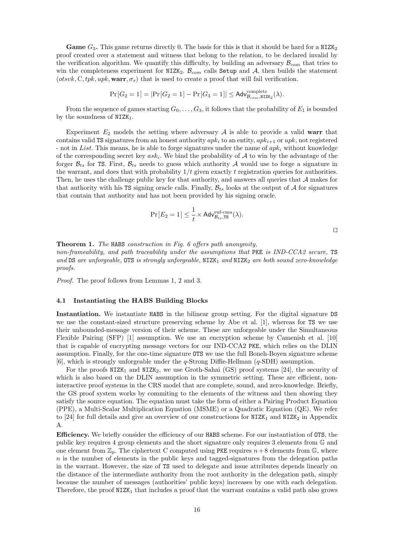**Game**  $G_3$ . This game returns directly 0. The basis for this is that it should be hard for a NIZK<sub>2</sub> proof created over a statement and witness that belong to the relation, to be declared invalid by the verification algorithm. We quantify this difficulty, by building an adversary  $\mathcal{B}_{com}$  that tries to win the completeness experiment for NIZK<sub>2</sub>.  $\mathcal{B}_{com}$  calls Setup and  $\mathcal{A}$ , then builds the statement  $(\textit{otsvk}, C, \textit{tpk}, \textit{upk}, \textbf{warr}, \sigma_s)$  that is used to create a proof that will fail verification.

$$
\Pr\left[G_2=1\right]=\left|\Pr\left[G_2=1\right]-\Pr\left[G_3=1\right]\right|\leq \mathsf{Adv}_{\mathcal{B}_{com},\mathtt{NIZK}_2}^{\mathrm{complete}}(\lambda).
$$

From the sequence of games starting  $G_0, \ldots, G_3$ , it follows that the probability of  $E_1$  is bounded by the soundness of  $NIZK<sub>1</sub>$ .

Experiment  $E_2$  models the setting where adversary  $A$  is able to provide a valid warr that contains valid TS signatures from an honest authority  $apk_i$  to an entity,  $apk_{i+1}$  or  $upk$ , not registered - not in List. This means, he is able to forge signatures under the name of  $apk_i$  without knowledge of the corresponding secret key  $ask_i$ . We bind the probability of A to win by the advantage of the forger  $\mathcal{B}_{ts}$  for TS. First,  $\mathcal{B}_{ts}$  needs to guess which authority A would use to forge a signature in the warrant, and does that with probability  $1/t$  given exactly t registration queries for authorities. Then, he uses the challenge public key for that authority, and answers all queries that  $A$  makes for that authority with his TS signing oracle calls. Finally,  $B_{ts}$  looks at the output of A for signatures that contain that authority and has not been provided by his signing oracle.

$$
\Pr\left[E_2=1\right]\leq \frac{1}{t}\times \mathsf{Adv}_{\mathcal{B}_{ts},\mathtt{TS}}^{\text{euf-cma}}(\lambda).
$$

 $\Box$ 

Theorem 1. The HABS construction in Fig. 6 offers path anonymity, non-frameability, and path traceability under the assumptions that PKE is IND-CCA2 secure, TS and DS are unforgeable,  $0TS$  is strongly unforgeable,  $NIZK<sub>1</sub>$  and  $NIZK<sub>2</sub>$  are both sound zero-knowledge proofs.

Proof. The proof follows from Lemmas 1, 2 and 3.

#### 4.1 Instantiating the HABS Building Blocks

Instantiation. We instantiate HABS in the bilinear group setting. For the digital signature DS we use the constant-sized structure preserving scheme by Abe et al. [1], whereas for TS we use their unbounded-message version of their scheme. These are unforgeable under the Simultaneous Flexible Pairing (SFP) [1] assumption. We use an encryption scheme by Camenish et al. [10] that is capable of encrypting message vectors for our IND-CCA2 PKE, which relies on the DLIN assumption. Finally, for the one-time signature OTS we use the full Boneh-Boyen signature scheme [6], which is strongly unforgeable under the q-Strong Diffie-Hellman (q-SDH) assumption.

For the proofs  $NIZK_1$  and  $NIZK_2$ , we use Groth-Sahai (GS) proof systems [24], the security of which is also based on the DLIN assumption in the symmetric setting. These are efficient, noninteractive proof systems in the CRS model that are complete, sound, and zero-knowledge. Briefly, the GS proof system works by commiting to the elements of the witness and then showing they satisfy the source equation. The equation must take the form of either a Pairing Product Equation (PPE), a Multi-Scalar Multiplication Equation (MSME) or a Quadratic Equation (QE). We refer to [24] for full details and give an overview of our constructions for  $NIZK_1$  and  $NIZK_2$  in Appendix A.

Efficiency. We briefly consider the efficiency of our HABS scheme. For our instantiation of OTS, the public key requires 4 group elements and the short signature only requires 3 elements from G and one element from  $\mathbb{Z}_p$ . The ciphertext C computed using PKE requires  $n+8$  elements from  $\mathbb{G}$ , where  $n$  is the number of elements in the public keys and tagged-signatures from the delegation paths in the warrant. However, the size of TS used to delegate and issue attributes depends linearly on the distance of the intermediate authority from the root authority in the delegation path, simply because the number of messages (authorities' public keys) increases by one with each delegation. Therefore, the proof  $NIZK<sub>1</sub>$  that includes a proof that the warrant contains a valid path also grows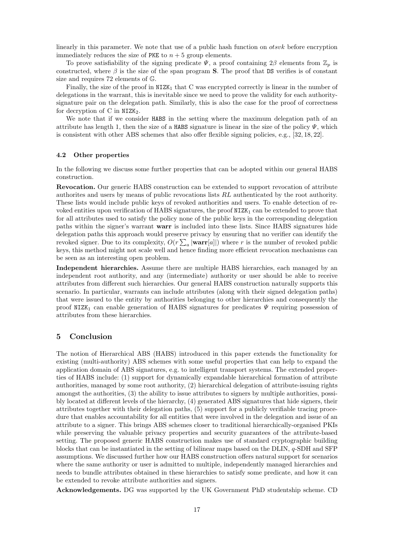linearly in this parameter. We note that use of a public hash function on *otsvk* before encryption immediately reduces the size of PKE to  $n + 5$  group elements.

To prove satisfiability of the signing predicate  $\Psi$ , a proof containing 2β elements from  $\mathbb{Z}_p$  is constructed, where  $\beta$  is the size of the span program **S**. The proof that DS verifies is of constant size and requires 72 elements of G.

Finally, the size of the proof in  $NIZK_1$  that C was encrypted correctly is linear in the number of delegations in the warrant, this is inevitable since we need to prove the validity for each authoritysignature pair on the delegation path. Similarly, this is also the case for the proof of correctness for decryption of C in  $NIZK<sub>2</sub>$ .

We note that if we consider **HABS** in the setting where the maximum delegation path of an attribute has length 1, then the size of a HABS signature is linear in the size of the policy  $\Psi$ , which is consistent with other ABS schemes that also offer flexible signing policies, e.g., [32, 18, 22].

### 4.2 Other properties

In the following we discuss some further properties that can be adopted within our general HABS construction.

Revocation. Our generic HABS construction can be extended to support revocation of attribute authorites and users by means of public revocations lists RL authenticated by the root authority. These lists would include public keys of revoked authorities and users. To enable detection of revoked entities upon verification of HABS signatures, the proof  $NIZK<sub>1</sub>$  can be extended to prove that for all attributes used to satisfy the policy none of the public keys in the corresponding delegation paths within the signer's warrant warr is included into these lists. Since HABS signatures hide delegation paths this approach would preserve privacy by ensuring that no verifier can identify the revoked signer. Due to its complexity,  $O(r \sum_a |\text{warr}[a]|)$  where r is the number of revoked public keys, this method might not scale well and hence finding more efficient revocation mechanisms can be seen as an interesting open problem.

Independent hierarchies. Assume there are multiple HABS hierarchies, each managed by an independent root authority, and any (intermediate) authority or user should be able to receive attributes from different such hierarchies. Our general HABS construction naturally supports this scenario. In particular, warrants can include attributes (along with their signed delegation paths) that were issued to the entity by authorities belonging to other hierarchies and consequently the proof NIZK<sub>1</sub> can enable generation of HABS signatures for predicates  $\Psi$  requiring possession of attributes from these hierarchies.

## 5 Conclusion

The notion of Hierarchical ABS (HABS) introduced in this paper extends the functionality for existing (multi-authority) ABS schemes with some useful properties that can help to expand the application domain of ABS signatures, e.g. to intelligent transport systems. The extended properties of HABS include: (1) support for dynamically expandable hierarchical formation of attribute authorities, managed by some root authority, (2) hierarchical delegation of attribute-issuing rights amongst the authorities, (3) the ability to issue attributes to signers by multiple authorities, possibly located at different levels of the hierarchy, (4) generated ABS signatures that hide signers, their attributes together with their delegation paths, (5) support for a publicly verifiable tracing procedure that enables accountability for all entities that were involved in the delegation and issue of an attribute to a signer. This brings ABS schemes closer to traditional hierarchically-organised PKIs while preserving the valuable privacy properties and security guarantees of the attribute-based setting. The proposed generic HABS construction makes use of standard cryptographic building blocks that can be instantiated in the setting of bilinear maps based on the DLIN, q-SDH and SFP assumptions. We discussed further how our HABS construction offers natural support for scenarios where the same authority or user is admitted to multiple, independently managed hierarchies and needs to bundle attributes obtained in these hierarchies to satisfy some predicate, and how it can be extended to revoke attribute authorities and signers.

Acknowledgements. DG was supported by the UK Government PhD studentship scheme. CD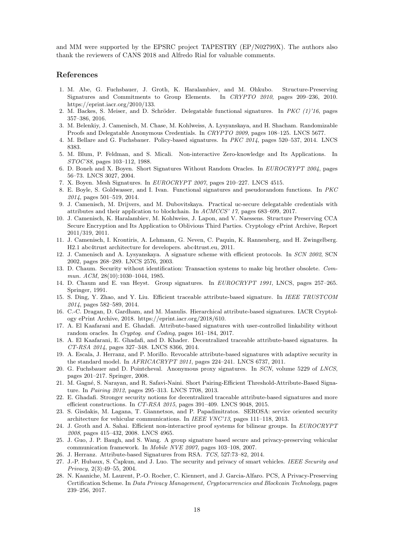and MM were supported by the EPSRC project TAPESTRY (EP/N02799X). The authors also thank the reviewers of CANS 2018 and Alfredo Rial for valuable comments.

## References

- 1. M. Abe, G. Fuchsbauer, J. Groth, K. Haralambiev, and M. Ohkubo. Structure-Preserving Signatures and Commitments to Group Elements. In CRYPTO 2010, pages 209–236, 2010. https://eprint.iacr.org/2010/133.
- 2. M. Backes, S. Meiser, and D. Schröder. Delegatable functional signatures. In PKC  $(1)$ '16, pages 357–386, 2016.
- 3. M. Belenkiy, J. Camenisch, M. Chase, M. Kohlweiss, A. Lysyanskaya, and H. Shacham. Randomizable Proofs and Delegatable Anonymous Credentials. In CRYPTO 2009, pages 108–125. LNCS 5677.
- 4. M. Bellare and G. Fuchsbauer. Policy-based signatures. In PKC 2014, pages 520–537, 2014. LNCS 8383.
- 5. M. Blum, P. Feldman, and S. Micali. Non-interactive Zero-knowledge and Its Applications. In STOC'88, pages 103–112, 1988.
- 6. D. Boneh and X. Boyen. Short Signatures Without Random Oracles. In EUROCRYPT 2004, pages 56–73. LNCS 3027, 2004.
- 7. X. Boyen. Mesh Signatures. In EUROCRYPT 2007, pages 210–227. LNCS 4515.
- 8. E. Boyle, S. Goldwasser, and I. Ivan. Functional signatures and pseudorandom functions. In PKC 2014, pages 501–519, 2014.
- 9. J. Camenisch, M. Drijvers, and M. Dubovitskaya. Practical uc-secure delegatable credentials with attributes and their application to blockchain. In ACMCCS' 17, pages 683–699, 2017.
- 10. J. Camenisch, K. Haralambiev, M. Kohlweiss, J. Lapon, and V. Naessens. Structure Preserving CCA Secure Encryption and Its Application to Oblivious Third Parties. Cryptology ePrint Archive, Report 2011/319, 2011.
- 11. J. Camenisch, I. Krontiris, A. Lehmann, G. Neven, C. Paquin, K. Rannenberg, and H. Zwingelberg. H2.1 abc4trust architecture for developers. abc4trust.eu, 2011.
- 12. J. Camenisch and A. Lysyanskaya. A signature scheme with efficient protocols. In SCN 2002, SCN 2002, pages 268–289. LNCS 2576, 2003.
- 13. D. Chaum. Security without identification: Transaction systems to make big brother obsolete. Commun. ACM, 28(10):1030-1044, 1985.
- 14. D. Chaum and E. van Heyst. Group signatures. In EUROCRYPT 1991, LNCS, pages 257–265. Springer, 1991.
- 15. S. Ding, Y. Zhao, and Y. Liu. Efficient traceable attribute-based signature. In IEEE TRUSTCOM 2014, pages 582–589, 2014.
- 16. C.-C. Dragan, D. Gardham, and M. Manulis. Hierarchical attribute-based signatures. IACR Cryptology ePrint Archive, 2018. https://eprint.iacr.org/2018/610.
- 17. A. El Kaafarani and E. Ghadafi. Attribute-based signatures with user-controlled linkability without random oracles. In Cryptog. and Coding, pages 161–184, 2017.
- 18. A. El Kaafarani, E. Ghadafi, and D. Khader. Decentralized traceable attribute-based signatures. In CT-RSA 2014, pages 327–348. LNCS 8366, 2014.
- 19. A. Escala, J. Herranz, and P. Morillo. Revocable attribute-based signatures with adaptive security in the standard model. In AFRICACRYPT 2011, pages 224–241. LNCS 6737, 2011.
- 20. G. Fuchsbauer and D. Pointcheval. Anonymous proxy signatures. In SCN, volume 5229 of LNCS, pages 201–217. Springer, 2008.
- 21. M. Gagn´e, S. Narayan, and R. Safavi-Naini. Short Pairing-Efficient Threshold-Attribute-Based Signature. In Pairing 2012, pages 295–313. LNCS 7708, 2013.
- 22. E. Ghadafi. Stronger security notions for decentralized traceable attribute-based signatures and more efficient constructions. In CT-RSA 2015, pages 391–409. LNCS 9048, 2015.
- 23. S. Gisdakis, M. Lagana, T. Giannetsos, and P. Papadimitratos. SEROSA: service oriented security architecture for vehicular communications. In IEEE VNC'13, pages 111–118, 2013.
- 24. J. Groth and A. Sahai. Efficient non-interactive proof systems for bilinear groups. In EUROCRYPT 2008, pages 415–432, 2008. LNCS 4965.
- 25. J. Guo, J. P. Baugh, and S. Wang. A group signature based secure and privacy-preserving vehicular communication framework. In Mobile NVE 2007, pages 103–108, 2007.
- 26. J. Herranz. Attribute-based Signatures from RSA. TCS, 527:73–82, 2014.
- 27. J.-P. Hubaux, S. Čapkun, and J. Luo. The security and privacy of smart vehicles. IEEE Security and Privacy, 2(3):49–55, 2004.
- 28. N. Kaaniche, M. Laurent, P.-O. Rocher, C. Kiennert, and J. Garcia-Alfaro. PCS, A Privacy-Preserving Certification Scheme. In Data Privacy Management, Cryptocurrencies and Blockcain Technology, pages 239–256, 2017.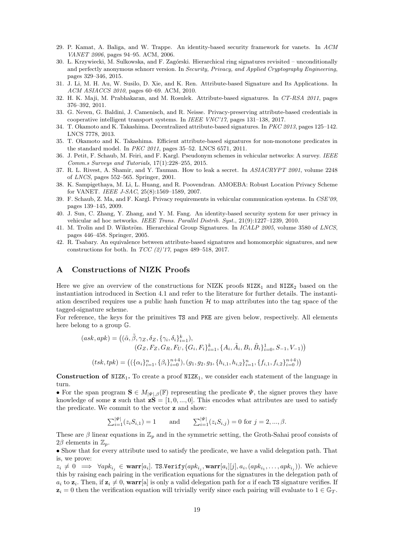- 29. P. Kamat, A. Baliga, and W. Trappe. An identity-based security framework for vanets. In ACM VANET 2006, pages 94–95. ACM, 2006.
- 30. L. Krzywiecki, M. Sulkowska, and F. Zagórski. Hierarchical ring signatures revisited unconditionally and perfectly anonymous schnorr version. In Security, Privacy, and Applied Cryptography Engineering, pages 329–346, 2015.
- 31. J. Li, M. H. Au, W. Susilo, D. Xie, and K. Ren. Attribute-based Signature and Its Applications. In ACM ASIACCS 2010, pages 60–69. ACM, 2010.
- 32. H. K. Maji, M. Prabhakaran, and M. Rosulek. Attribute-based signatures. In CT-RSA 2011, pages 376–392, 2011.
- 33. G. Neven, G. Baldini, J. Camenisch, and R. Neisse. Privacy-preserving attribute-based credentials in cooperative intelligent transport systems. In IEEE VNC'17, pages 131–138, 2017.
- 34. T. Okamoto and K. Takashima. Decentralized attribute-based signatures. In PKC 2013, pages 125–142. LNCS 7778, 2013.
- 35. T. Okamoto and K. Takashima. Efficient attribute-based signatures for non-monotone predicates in the standard model. In PKC 2011, pages 35–52. LNCS 6571, 2011.
- 36. J. Petit, F. Schaub, M. Feiri, and F. Kargl. Pseudonym schemes in vehicular networks: A survey. IEEE Comm.s Surveys and Tutorials, 17(1):228–255, 2015.
- 37. R. L. Rivest, A. Shamir, and Y. Tauman. How to leak a secret. In ASIACRYPT 2001, volume 2248 of LNCS, pages 552–565. Springer, 2001.
- 38. K. Sampigethaya, M. Li, L. Huang, and R. Poovendran. AMOEBA: Robust Location Privacy Scheme for VANET. IEEE J-SAC, 25(8):1569–1589, 2007.
- 39. F. Schaub, Z. Ma, and F. Kargl. Privacy requirements in vehicular communication systems. In CSE'09, pages 139–145, 2009.
- 40. J. Sun, C. Zhang, Y. Zhang, and Y. M. Fang. An identity-based security system for user privacy in vehicular ad hoc networks. IEEE Trans. Parallel Distrib. Syst., 21(9):1227–1239, 2010.
- 41. M. Trolin and D. Wikström. Hierarchical Group Signatures. In ICALP 2005, volume 3580 of LNCS, pages 446–458. Springer, 2005.
- 42. R. Tsabary. An equivalence between attribute-based signatures and homomorphic signatures, and new constructions for both. In  $TCC$  (2)'17, pages 489–518, 2017.

## A Constructions of NIZK Proofs

Here we give an overview of the constructions for NIZK proofs  $NIZK<sub>1</sub>$  and  $NIZK<sub>2</sub>$  based on the instantiation introduced in Section 4.1 and refer to the literature for further details. The instantiation described requires use a public hash function  $H$  to map attributes into the tag space of the tagged-signature scheme.

For reference, the keys for the primitives TS and PKE are given below, respectively. All elements here belong to a group G.

$$
(ask, apk) = ((\tilde{\alpha}, \tilde{\beta}, \gamma_Z, \delta_Z, \{\gamma_i, \delta_i\}_{i=1}^k),(G_Z, F_Z, G_R, F_U, \{G_i, F_i\}_{i=1}^k, \{A_i, \tilde{A}_i, B_i, \tilde{B}_i\}_{i=0}^1, S_{-1}, V_{-1}))(tsk, tpk) = (({\alpha_i}_{i=1}^n, {\beta_i}_{i=0}^{n+4}), (g_1, g_2, g_3, \{h_{i,1}, h_{i,2}\}_{i=1}^n, \{f_{i,1}, f_{i,2}\}_{i=0}^{n+4}))
$$

**Construction of NIZK<sub>1</sub>.** To create a proof  $NIZK<sub>1</sub>$ , we consider each statement of the language in turn.

• For the span program  $\mathbf{S} \in M_{|\Psi|,\beta}(\mathbb{F})$  representing the predicate  $\Psi$ , the signer proves they have knowledge of some **z** such that  $zS = [1, 0, ..., 0]$ . This encodes what attributes are used to satisfy the predicate. We commit to the vector z and show:

$$
\sum_{i=1}^{|\Psi|} (z_i S_{i,1}) = 1 \quad \text{and} \quad \sum_{i=1}^{|\Psi|} (z_i S_{i,j}) = 0 \text{ for } j = 2, ..., \beta.
$$

These are  $\beta$  linear equations in  $\mathbb{Z}_p$  and in the symmetric setting, the Groth-Sahai proof consists of  $2\beta$  elements in  $\mathbb{Z}_p$ .

• Show that for every attribute used to satisfy the predicate, we have a valid delegation path. That is, we prove:

 $z_i \neq 0 \implies \forall a p k_{i_j} \in \textbf{warr}[a_i]$ . TS.Verify $(apk_{i_j}, \textbf{warr}[a_i][j], a_i, (apk_{i_1}, \ldots, apk_{i_j})).$  We achieve this by raising each pairing in the verification equations for the signatures in the delegation path of  $a_i$  to  $\mathbf{z}_i$ . Then, if  $\mathbf{z}_i \neq 0$ , warr[a] is only a valid delegation path for a if each TS signature verifies. If  $z_i = 0$  then the verification equation will trivially verify since each pairing will evaluate to  $1 \in \mathbb{G}_T$ .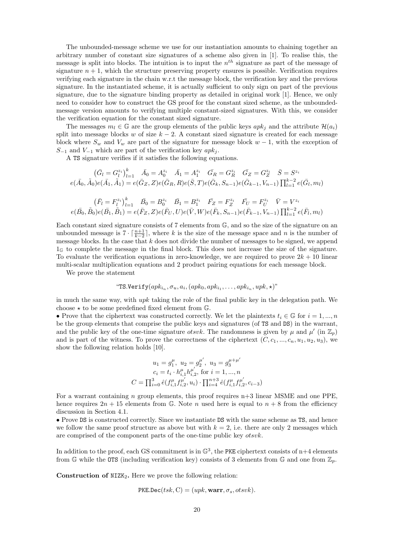The unbounded-message scheme we use for our instantiation amounts to chaining together an arbitrary number of constant size signatures of a scheme also given in [1]. To realise this, the message is split into blocks. The intuition is to input the  $n<sup>th</sup>$  signature as part of the message of signature  $n + 1$ , which the structure preserving property ensures is possible. Verification requires verifying each signature in the chain w.r.t the message block, the verification key and the previous signature. In the instantiated scheme, it is actually sufficient to only sign on part of the previous signature, due to the signature binding property as detailed in original work [1]. Hence, we only need to consider how to construct the GS proof for the constant sized scheme, as the unboundedmessage version amounts to verifying multiple constant-sized signatures. With this, we consider the verification equation for the constant sized signature.

The messages  $m_l \in \mathbb{G}$  are the group elements of the public keys  $apk_j$  and the attribute  $\mathcal{H}(a_i)$ split into message blocks w of size  $k - 2$ . A constant sized signature is created for each message block where  $S_w$  and  $V_w$  are part of the signature for message block  $w - 1$ , with the exception of  $S_{-1}$  and  $V_{-1}$  which are part of the verification key  $apk_i$ .

A TS signature verifies if it satisfies the following equations.

$$
\begin{aligned} \left(\bar{G}_l = G_l^{z_i}\right)_{l=1}^k & \bar{A}_0 = A_0^{z_i} & \bar{A}_1 = A_1^{z_i} & \bar{G}_R = G_R^{z_i} & \bar{G}_Z = G_Z^{z_i} & \bar{S} = S^{z_i} \\ e(\bar{A}_0, \tilde{A}_0)e(\bar{A}_1, \tilde{A}_1) &= e(\bar{G}_Z, Z)e(\bar{G}_R, R)e(\bar{S}, T)e(\bar{G}_k, S_{n-1})e(\bar{G}_{k-1}, V_{n-1}) \prod_{l=1}^{k-2} e(\bar{G}_l, m_l) \end{aligned}
$$

$$
(\bar{F}_l = F_l^{z_i})_{l=1}^k \quad \bar{B}_0 = B_0^{z_i} \quad \bar{B}_1 = B_1^{z_i} \quad \bar{F}_Z = F_Z^{z_i} \quad \bar{F}_U = F_U^{z_i} \quad \bar{V} = V^{z_i}
$$

$$
e(\bar{B}_0, \tilde{B}_0)e(\bar{B}_1, \tilde{B}_1) = e(\bar{F}_Z, Z)e(\bar{F}_U, U)e(\bar{V}, W)e(\bar{F}_k, S_{n-1})e(\bar{F}_{k-1}, V_{n-1})\prod_{l=1}^{k-2}e(\bar{F}_l, m_l)
$$

Each constant sized signature consists of 7 elements from G, and so the size of the signature on an unbounded message is  $7 \cdot \lceil \frac{n+1}{k-2} \rceil$ , where k is the size of the message space and n is the number of message blocks. In the case that  $k$  does not divide the number of messages to be signed, we append  $1_G$  to complete the message in the final block. This does not increase the size of the signature. To evaluate the verification equations in zero-knowledge, we are required to prove  $2k + 10$  linear multi-scalar multiplication equations and 2 product pairing equations for each message block.

We prove the statement

"TS.Verify(
$$
apk_{i_n}
$$
,  $\sigma_u$ ,  $a_i$ , ( $apk_0$ ,  $apk_{i_1}$ , . . . ,  $apk_{i_n}$ ,  $upk$ ,  $\star$ )"

in much the same way, with  $upk$  taking the role of the final public key in the delegation path. We choose  $\star$  to be some predefined fixed element from  $\mathbb{G}$ .

• Prove that the ciphertext was constructed correctly. We let the plaintexts  $t_i \in \mathbb{G}$  for  $i = 1, ..., n$ be the group elements that comprise the public keys and signatures (of TS and DS) in the warrant, and the public key of the one-time signature *otsvk*. The randomness is given by  $\mu$  and  $\mu'$  (in  $\mathbb{Z}_p$ ) and is part of the witness. To prove the correctness of the ciphertext  $(C, c_1, ..., c_n, u_1, u_2, u_3)$ , we show the following relation holds [10].

$$
u_1 = g_1^{\mu}, \ u_2 = g_2^{\mu'}, \ u_3 = g_3^{\mu+\mu'}
$$

$$
c_i = t_i \cdot h_{i,1}^{\mu} h_{i,2}^{\mu'}, \text{ for } i = 1, ..., n
$$

$$
C = \prod_{i=0}^3 \hat{e}(f_{i,1}^{\mu} f_{i,2}^{\mu'}, u_i) \cdot \prod_{i=4}^{n+3} \hat{e}(f_{i,1}^{\mu} f_{i,2}^{\mu'}, c_{i-3})
$$

For a warrant containing  $n$  group elements, this proof requires  $n+3$  linear MSME and one PPE, hence requires  $2n + 15$  elements from G. Note n used here is equal to  $n + 8$  from the efficiency discussion in Section 4.1.

• Prove DS is constructed correctly. Since we instantiate DS with the same scheme as TS, and hence we follow the same proof structure as above but with  $k = 2$ , i.e. there are only 2 messages which are comprised of the component parts of the one-time public key *otsvk*.

In addition to the proof, each GS commitment is in  $\mathbb{G}^3$ , the PKE ciphertext consists of n+4 elements from G while the OTS (including verification key) consists of 3 elements from G and one from  $\mathbb{Z}_p$ .

Construction of NIZK<sub>2</sub>. Here we prove the following relation:

$$
\mathtt{PKE.Dec}(tsk, \mathrm{C}) = (upk, \textbf{warr}, \sigma_s, otsvk).
$$